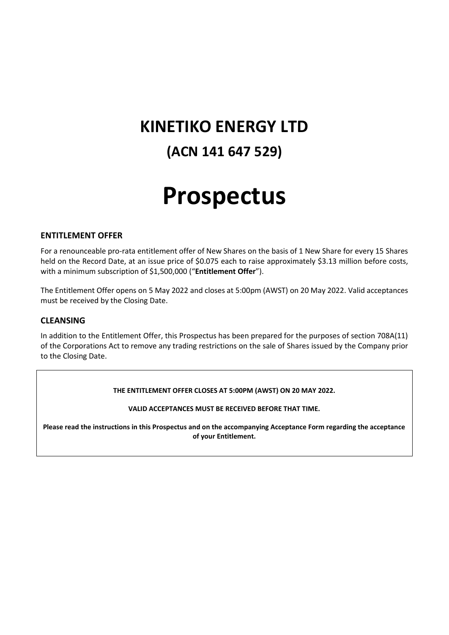## **KINETIKO ENERGY LTD**

## **(ACN 141 647 529)**

# **Prospectus**

### **ENTITLEMENT OFFER**

For a renounceable pro-rata entitlement offer of New Shares on the basis of 1 New Share for every 15 Shares held on the Record Date, at an issue price of \$0.075 each to raise approximately \$3.13 million before costs, with a minimum subscription of \$1,500,000 ("**Entitlement Offer**").

The Entitlement Offer opens on 5 May 2022 and closes at 5:00pm (AWST) on 20 May 2022. Valid acceptances must be received by the Closing Date.

#### **CLEANSING**

In addition to the Entitlement Offer, this Prospectus has been prepared for the purposes of section 708A(11) of the Corporations Act to remove any trading restrictions on the sale of Shares issued by the Company prior to the Closing Date.

#### **THE ENTITLEMENT OFFER CLOSES AT 5:00PM (AWST) ON 20 MAY 2022.**

**VALID ACCEPTANCES MUST BE RECEIVED BEFORE THAT TIME.**

**Please read the instructions in this Prospectus and on the accompanying Acceptance Form regarding the acceptance of your Entitlement.**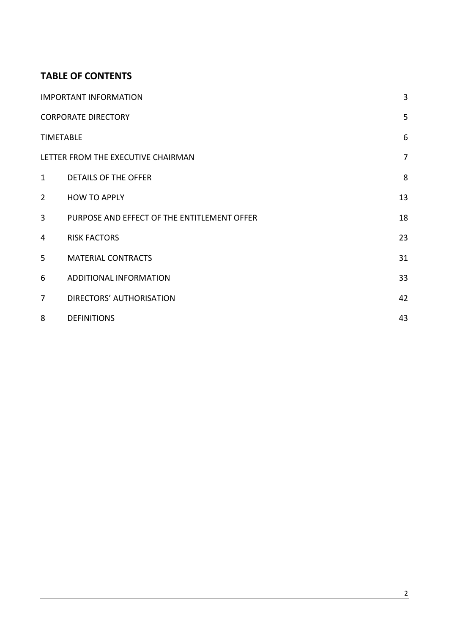## **TABLE OF CONTENTS**

|                  | <b>IMPORTANT INFORMATION</b>                | 3              |
|------------------|---------------------------------------------|----------------|
|                  | <b>CORPORATE DIRECTORY</b>                  | 5              |
| <b>TIMETABLE</b> |                                             | 6              |
|                  | LETTER FROM THE EXECUTIVE CHAIRMAN          | $\overline{7}$ |
| $\mathbf{1}$     | <b>DETAILS OF THE OFFER</b>                 | 8              |
| $\overline{2}$   | <b>HOW TO APPLY</b>                         | 13             |
| 3                | PURPOSE AND EFFECT OF THE ENTITLEMENT OFFER | 18             |
| 4                | <b>RISK FACTORS</b>                         | 23             |
| 5                | <b>MATERIAL CONTRACTS</b>                   | 31             |
| 6                | ADDITIONAL INFORMATION                      | 33             |
| $\overline{7}$   | DIRECTORS' AUTHORISATION                    | 42             |
| 8                | <b>DEFINITIONS</b>                          | 43             |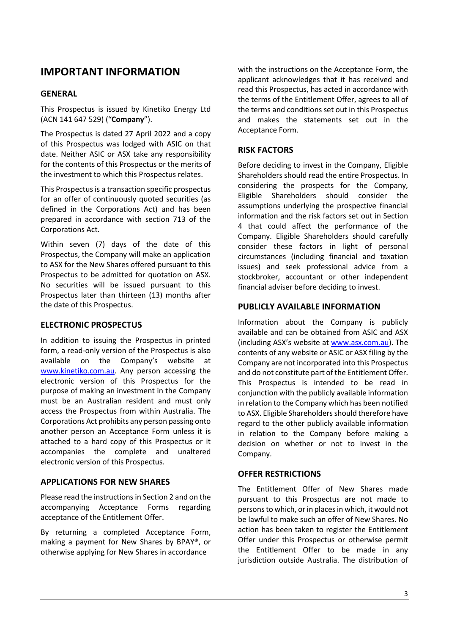## <span id="page-2-0"></span>**IMPORTANT INFORMATION**

### **GENERAL**

This Prospectus is issued by Kinetiko Energy Ltd (ACN 141 647 529) ("**Company**").

The Prospectus is dated 27 April 2022 and a copy of this Prospectus was lodged with ASIC on that date. Neither ASIC or ASX take any responsibility for the contents of this Prospectus or the merits of the investment to which this Prospectus relates.

This Prospectus is a transaction specific prospectus for an offer of continuously quoted securities (as defined in the Corporations Act) and has been prepared in accordance with section 713 of the Corporations Act.

Within seven (7) days of the date of this Prospectus, the Company will make an application to ASX for the New Shares offered pursuant to this Prospectus to be admitted for quotation on ASX. No securities will be issued pursuant to this Prospectus later than thirteen (13) months after the date of this Prospectus.

### **ELECTRONIC PROSPECTUS**

In addition to issuing the Prospectus in printed form, a read-only version of the Prospectus is also available on the Company's website at [www.kinetiko.com.au.](http://www.kinetiko.com.au/) Any person accessing the electronic version of this Prospectus for the purpose of making an investment in the Company must be an Australian resident and must only access the Prospectus from within Australia. The Corporations Act prohibits any person passing onto another person an Acceptance Form unless it is attached to a hard copy of this Prospectus or it accompanies the complete and unaltered electronic version of this Prospectus.

### **APPLICATIONS FOR NEW SHARES**

Please read the instructions in Section [2](#page-12-0) and on the accompanying Acceptance Forms regarding acceptance of the Entitlement Offer.

By returning a completed Acceptance Form, making a payment for New Shares by BPAY®, or otherwise applying for New Shares in accordance

with the instructions on the Acceptance Form, the applicant acknowledges that it has received and read this Prospectus, has acted in accordance with the terms of the Entitlement Offer, agrees to all of the terms and conditions set out in this Prospectus and makes the statements set out in the Acceptance Form.

### **RISK FACTORS**

Before deciding to invest in the Company, Eligible Shareholders should read the entire Prospectus. In considering the prospects for the Company, Eligible Shareholders should consider the assumptions underlying the prospective financial information and the risk factors set out in Section [4](#page-22-0) that could affect the performance of the Company. Eligible Shareholders should carefully consider these factors in light of personal circumstances (including financial and taxation issues) and seek professional advice from a stockbroker, accountant or other independent financial adviser before deciding to invest.

### **PUBLICLY AVAILABLE INFORMATION**

Information about the Company is publicly available and can be obtained from ASIC and ASX (including ASX's website at [www.asx.com.au\)](http://www.asx.com.au/). The contents of any website or ASIC or ASX filing by the Company are not incorporated into this Prospectus and do not constitute part of the Entitlement Offer. This Prospectus is intended to be read in conjunction with the publicly available information in relation to the Company which has been notified to ASX. Eligible Shareholders should therefore have regard to the other publicly available information in relation to the Company before making a decision on whether or not to invest in the Company.

### **OFFER RESTRICTIONS**

The Entitlement Offer of New Shares made pursuant to this Prospectus are not made to persons to which, or in places in which, it would not be lawful to make such an offer of New Shares. No action has been taken to register the Entitlement Offer under this Prospectus or otherwise permit the Entitlement Offer to be made in any jurisdiction outside Australia. The distribution of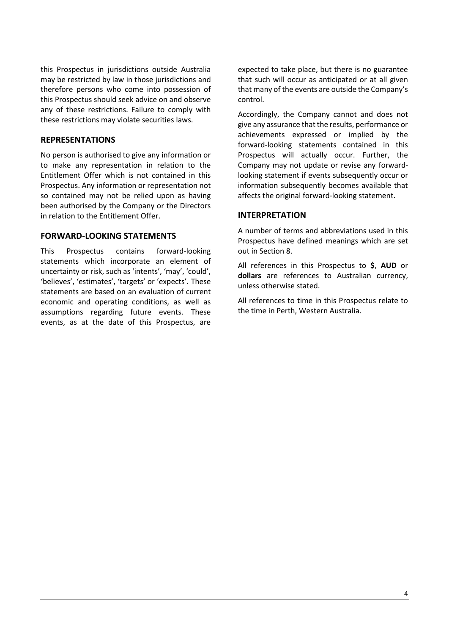this Prospectus in jurisdictions outside Australia may be restricted by law in those jurisdictions and therefore persons who come into possession of this Prospectus should seek advice on and observe any of these restrictions. Failure to comply with these restrictions may violate securities laws.

#### **REPRESENTATIONS**

No person is authorised to give any information or to make any representation in relation to the Entitlement Offer which is not contained in this Prospectus. Any information or representation not so contained may not be relied upon as having been authorised by the Company or the Directors in relation to the Entitlement Offer.

#### **FORWARD-LOOKING STATEMENTS**

This Prospectus contains forward-looking statements which incorporate an element of uncertainty or risk, such as 'intents', 'may', 'could', 'believes', 'estimates', 'targets' or 'expects'. These statements are based on an evaluation of current economic and operating conditions, as well as assumptions regarding future events. These events, as at the date of this Prospectus, are

expected to take place, but there is no guarantee that such will occur as anticipated or at all given that many of the events are outside the Company's control.

Accordingly, the Company cannot and does not give any assurance that the results, performance or achievements expressed or implied by the forward-looking statements contained in this Prospectus will actually occur. Further, the Company may not update or revise any forwardlooking statement if events subsequently occur or information subsequently becomes available that affects the original forward-looking statement.

#### **INTERPRETATION**

A number of terms and abbreviations used in this Prospectus have defined meanings which are set out in Section [8.](#page-42-0)

All references in this Prospectus to **\$**, **AUD** or **dollars** are references to Australian currency, unless otherwise stated.

All references to time in this Prospectus relate to the time in Perth, Western Australia.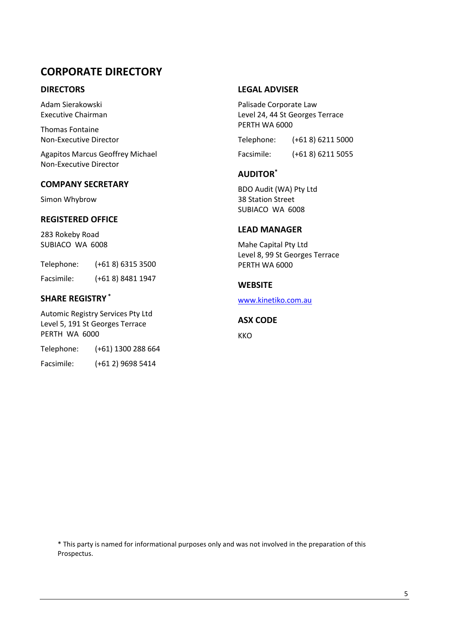## <span id="page-4-0"></span>**CORPORATE DIRECTORY**

### **DIRECTORS**

Adam Sierakowski Executive Chairman

Thomas Fontaine Non-Executive Director

Agapitos Marcus Geoffrey Michael Non-Executive Director

### **COMPANY SECRETARY**

Simon Whybrow

### **REGISTERED OFFICE**

283 Rokeby Road SUBIACO WA 6008

| Telephone: | $(+618) 63153500$ |
|------------|-------------------|
| Facsimile: | $(+618)84811947$  |

### **SHARE REGISTRY \***

Automic Registry Services Pty Ltd Level 5, 191 St Georges Terrace PERTH WA 6000

Telephone: (+61) 1300 288 664

Facsimile: (+61 2) 9698 5414

### **LEGAL ADVISER**

Palisade Corporate Law Level 24, 44 St Georges Terrace PERTH WA 6000

Telephone: (+61 8) [6211 5000](tel:(08)%209486%201100) Facsimile: (+61 8) 6211 5055

### **AUDITOR\***

BDO Audit (WA) Pty Ltd 38 Station Street SUBIACO WA 6008

### **LEAD MANAGER**

Mahe Capital Pty Ltd Level 8, 99 St Georges Terrace PERTH WA 6000

### **WEBSITE**

[www.kinetiko.com.au](http://www.kinetiko.com.au/)

#### **ASX CODE**

KKO

\* This party is named for informational purposes only and was not involved in the preparation of this Prospectus.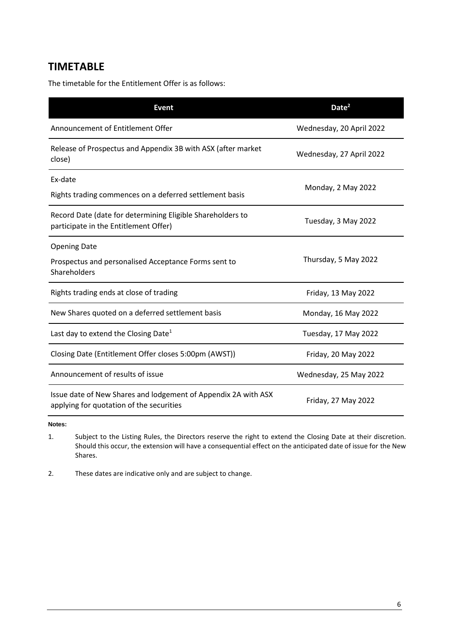## <span id="page-5-0"></span>**TIMETABLE**

The timetable for the Entitlement Offer is as follows:

| <b>Event</b>                                                                                               | Date <sup>2</sup>        |
|------------------------------------------------------------------------------------------------------------|--------------------------|
| Announcement of Entitlement Offer                                                                          | Wednesday, 20 April 2022 |
| Release of Prospectus and Appendix 3B with ASX (after market<br>close)                                     | Wednesday, 27 April 2022 |
| Ex-date<br>Rights trading commences on a deferred settlement basis                                         | Monday, 2 May 2022       |
| Record Date (date for determining Eligible Shareholders to<br>participate in the Entitlement Offer)        | Tuesday, 3 May 2022      |
| <b>Opening Date</b><br>Prospectus and personalised Acceptance Forms sent to<br>Shareholders                | Thursday, 5 May 2022     |
| Rights trading ends at close of trading                                                                    | Friday, 13 May 2022      |
| New Shares quoted on a deferred settlement basis                                                           | Monday, 16 May 2022      |
| Last day to extend the Closing Date <sup>1</sup>                                                           | Tuesday, 17 May 2022     |
| Closing Date (Entitlement Offer closes 5:00pm (AWST))                                                      | Friday, 20 May 2022      |
| Announcement of results of issue                                                                           | Wednesday, 25 May 2022   |
| Issue date of New Shares and lodgement of Appendix 2A with ASX<br>applying for quotation of the securities | Friday, 27 May 2022      |

**Notes:**

- 1. Subject to the Listing Rules, the Directors reserve the right to extend the Closing Date at their discretion. Should this occur, the extension will have a consequential effect on the anticipated date of issue for the New Shares.
- 2. These dates are indicative only and are subject to change.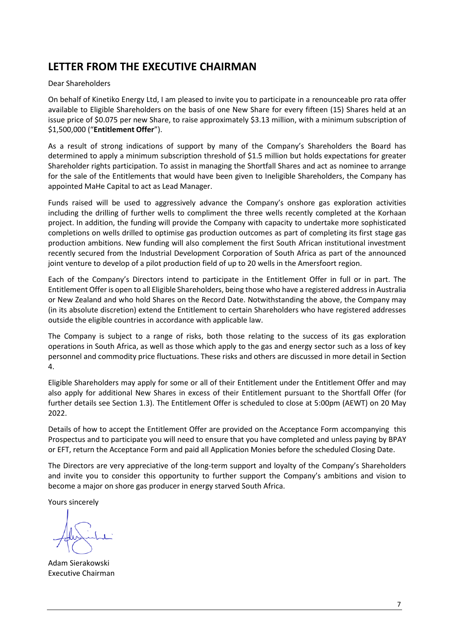## <span id="page-6-0"></span>**LETTER FROM THE EXECUTIVE CHAIRMAN**

#### Dear Shareholders

On behalf of Kinetiko Energy Ltd, I am pleased to invite you to participate in a renounceable pro rata offer available to Eligible Shareholders on the basis of one New Share for every fifteen (15) Shares held at an issue price of \$0.075 per new Share, to raise approximately \$3.13 million, with a minimum subscription of \$1,500,000 ("**Entitlement Offer**").

As a result of strong indications of support by many of the Company's Shareholders the Board has determined to apply a minimum subscription threshold of \$1.5 million but holds expectations for greater Shareholder rights participation. To assist in managing the Shortfall Shares and act as nominee to arrange for the sale of the Entitlements that would have been given to Ineligible Shareholders, the Company has appointed MaHe Capital to act as Lead Manager.

Funds raised will be used to aggressively advance the Company's onshore gas exploration activities including the drilling of further wells to compliment the three wells recently completed at the Korhaan project. In addition, the funding will provide the Company with capacity to undertake more sophisticated completions on wells drilled to optimise gas production outcomes as part of completing its first stage gas production ambitions. New funding will also complement the first South African institutional investment recently secured from the Industrial Development Corporation of South Africa as part of the announced joint venture to develop of a pilot production field of up to 20 wells in the Amersfoort region.

Each of the Company's Directors intend to participate in the Entitlement Offer in full or in part. The Entitlement Offer is open to all Eligible Shareholders, being those who have a registered address in Australia or New Zealand and who hold Shares on the Record Date. Notwithstanding the above, the Company may (in its absolute discretion) extend the Entitlement to certain Shareholders who have registered addresses outside the eligible countries in accordance with applicable law.

The Company is subject to a range of risks, both those relating to the success of its gas exploration operations in South Africa, as well as those which apply to the gas and energy sector such as a loss of key personnel and commodity price fluctuations. These risks and others are discussed in more detail in Section 4.

Eligible Shareholders may apply for some or all of their Entitlement under the Entitlement Offer and may also apply for additional New Shares in excess of their Entitlement pursuant to the Shortfall Offer (for further details see Section [1.3\)](#page-7-1). The Entitlement Offer is scheduled to close at 5:00pm (AEWT) on 20 May 2022.

Details of how to accept the Entitlement Offer are provided on the Acceptance Form accompanying this Prospectus and to participate you will need to ensure that you have completed and unless paying by BPAY or EFT, return the Acceptance Form and paid all Application Monies before the scheduled Closing Date.

The Directors are very appreciative of the long-term support and loyalty of the Company's Shareholders and invite you to consider this opportunity to further support the Company's ambitions and vision to become a major on shore gas producer in energy starved South Africa.

Yours sincerely

Adam Sierakowski Executive Chairman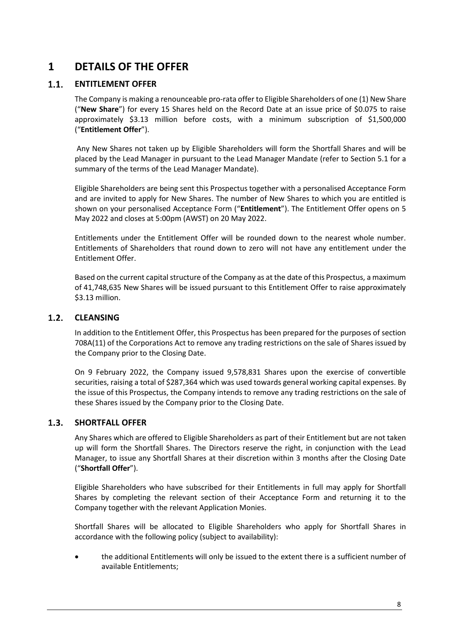## <span id="page-7-0"></span>**1 DETAILS OF THE OFFER**

#### $1.1.$ **ENTITLEMENT OFFER**

The Company is making a renounceable pro-rata offer to Eligible Shareholders of one (1) New Share ("**New Share**") for every 15 Shares held on the Record Date at an issue price of \$0.075 to raise approximately \$3.13 million before costs, with a minimum subscription of \$1,500,000 ("**Entitlement Offer**").

Any New Shares not taken up by Eligible Shareholders will form the Shortfall Shares and will be placed by the Lead Manager in pursuant to the Lead Manager Mandate (refer to Section [5.1](#page-30-1) for a summary of the terms of the Lead Manager Mandate).

Eligible Shareholders are being sent this Prospectus together with a personalised Acceptance Form and are invited to apply for New Shares. The number of New Shares to which you are entitled is shown on your personalised Acceptance Form ("**Entitlement**"). The Entitlement Offer opens on 5 May 2022 and closes at 5:00pm (AWST) on 20 May 2022.

Entitlements under the Entitlement Offer will be rounded down to the nearest whole number. Entitlements of Shareholders that round down to zero will not have any entitlement under the Entitlement Offer.

Based on the current capital structure of the Company as at the date of this Prospectus, a maximum of 41,748,635 New Shares will be issued pursuant to this Entitlement Offer to raise approximately \$3.13 million.

#### $1.2.$ **CLEANSING**

In addition to the Entitlement Offer, this Prospectus has been prepared for the purposes of section 708A(11) of the Corporations Act to remove any trading restrictions on the sale of Shares issued by the Company prior to the Closing Date.

On 9 February 2022, the Company issued 9,578,831 Shares upon the exercise of convertible securities, raising a total of \$287,364 which was used towards general working capital expenses. By the issue of this Prospectus, the Company intends to remove any trading restrictions on the sale of these Shares issued by the Company prior to the Closing Date.

#### <span id="page-7-1"></span> $1.3.$ **SHORTFALL OFFER**

Any Shares which are offered to Eligible Shareholders as part of their Entitlement but are not taken up will form the Shortfall Shares. The Directors reserve the right, in conjunction with the Lead Manager, to issue any Shortfall Shares at their discretion within 3 months after the Closing Date ("**Shortfall Offer**").

Eligible Shareholders who have subscribed for their Entitlements in full may apply for Shortfall Shares by completing the relevant section of their Acceptance Form and returning it to the Company together with the relevant Application Monies.

Shortfall Shares will be allocated to Eligible Shareholders who apply for Shortfall Shares in accordance with the following policy (subject to availability):

• the additional Entitlements will only be issued to the extent there is a sufficient number of available Entitlements;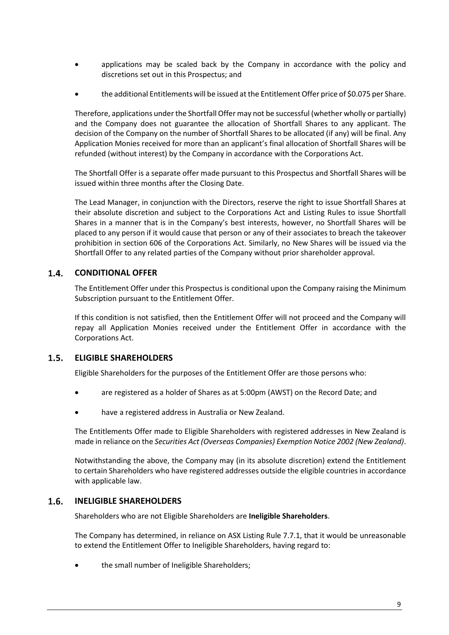- applications may be scaled back by the Company in accordance with the policy and discretions set out in this Prospectus; and
- the additional Entitlements will be issued at the Entitlement Offer price of \$0.075 per Share.

Therefore, applications under the Shortfall Offer may not be successful (whether wholly or partially) and the Company does not guarantee the allocation of Shortfall Shares to any applicant. The decision of the Company on the number of Shortfall Shares to be allocated (if any) will be final. Any Application Monies received for more than an applicant's final allocation of Shortfall Shares will be refunded (without interest) by the Company in accordance with the Corporations Act.

The Shortfall Offer is a separate offer made pursuant to this Prospectus and Shortfall Shares will be issued within three months after the Closing Date.

The Lead Manager, in conjunction with the Directors, reserve the right to issue Shortfall Shares at their absolute discretion and subject to the Corporations Act and Listing Rules to issue Shortfall Shares in a manner that is in the Company's best interests, however, no Shortfall Shares will be placed to any person if it would cause that person or any of their associates to breach the takeover prohibition in section 606 of the Corporations Act. Similarly, no New Shares will be issued via the Shortfall Offer to any related parties of the Company without prior shareholder approval.

#### <span id="page-8-0"></span> $1.4.$ **CONDITIONAL OFFER**

The Entitlement Offer under this Prospectus is conditional upon the Company raising the Minimum Subscription pursuant to the Entitlement Offer.

If this condition is not satisfied, then the Entitlement Offer will not proceed and the Company will repay all Application Monies received under the Entitlement Offer in accordance with the Corporations Act.

#### $1.5.$ **ELIGIBLE SHAREHOLDERS**

Eligible Shareholders for the purposes of the Entitlement Offer are those persons who:

- are registered as a holder of Shares as at 5:00pm (AWST) on the Record Date; and
- have a registered address in Australia or New Zealand.

The Entitlements Offer made to Eligible Shareholders with registered addresses in New Zealand is made in reliance on the *Securities Act (Overseas Companies) Exemption Notice 2002 (New Zealand)*.

Notwithstanding the above, the Company may (in its absolute discretion) extend the Entitlement to certain Shareholders who have registered addresses outside the eligible countries in accordance with applicable law.

#### **INELIGIBLE SHAREHOLDERS**  $1.6.$

Shareholders who are not Eligible Shareholders are **Ineligible Shareholders**.

The Company has determined, in reliance on ASX Listing Rule 7.7.1, that it would be unreasonable to extend the Entitlement Offer to Ineligible Shareholders, having regard to:

the small number of Ineligible Shareholders;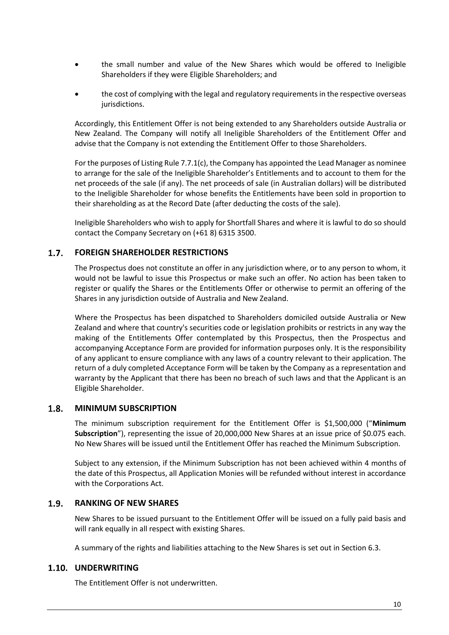- the small number and value of the New Shares which would be offered to Ineligible Shareholders if they were Eligible Shareholders; and
- the cost of complying with the legal and regulatory requirements in the respective overseas jurisdictions.

Accordingly, this Entitlement Offer is not being extended to any Shareholders outside Australia or New Zealand. The Company will notify all Ineligible Shareholders of the Entitlement Offer and advise that the Company is not extending the Entitlement Offer to those Shareholders.

For the purposes of Listing Rule 7.7.1(c), the Company has appointed the Lead Manager as nominee to arrange for the sale of the Ineligible Shareholder's Entitlements and to account to them for the net proceeds of the sale (if any). The net proceeds of sale (in Australian dollars) will be distributed to the Ineligible Shareholder for whose benefits the Entitlements have been sold in proportion to their shareholding as at the Record Date (after deducting the costs of the sale).

Ineligible Shareholders who wish to apply for Shortfall Shares and where it is lawful to do so should contact the Company Secretary on [\(+61 8](tel:(08)%209486%201100)) 6315 3500.

#### $1.7.$ **FOREIGN SHAREHOLDER RESTRICTIONS**

The Prospectus does not constitute an offer in any jurisdiction where, or to any person to whom, it would not be lawful to issue this Prospectus or make such an offer. No action has been taken to register or qualify the Shares or the Entitlements Offer or otherwise to permit an offering of the Shares in any jurisdiction outside of Australia and New Zealand.

Where the Prospectus has been dispatched to Shareholders domiciled outside Australia or New Zealand and where that country's securities code or legislation prohibits or restricts in any way the making of the Entitlements Offer contemplated by this Prospectus, then the Prospectus and accompanying Acceptance Form are provided for information purposes only. It is the responsibility of any applicant to ensure compliance with any laws of a country relevant to their application. The return of a duly completed Acceptance Form will be taken by the Company as a representation and warranty by the Applicant that there has been no breach of such laws and that the Applicant is an Eligible Shareholder.

#### $1.8.$ **MINIMUM SUBSCRIPTION**

The minimum subscription requirement for the Entitlement Offer is \$1,500,000 ("**Minimum Subscription**"), representing the issue of 20,000,000 New Shares at an issue price of \$0.075 each. No New Shares will be issued until the Entitlement Offer has reached the Minimum Subscription.

Subject to any extension, if the Minimum Subscription has not been achieved within 4 months of the date of this Prospectus, all Application Monies will be refunded without interest in accordance with the Corporations Act.

#### $1.9.$ **RANKING OF NEW SHARES**

New Shares to be issued pursuant to the Entitlement Offer will be issued on a fully paid basis and will rank equally in all respect with existing Shares.

A summary of the rights and liabilities attaching to the New Shares is set out in Section [6.3.](#page-34-0)

#### **UNDERWRITING**

The Entitlement Offer is not underwritten.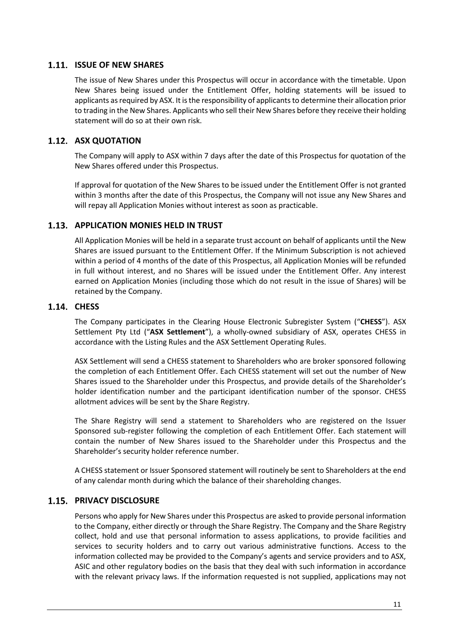### **1.11. ISSUE OF NEW SHARES**

The issue of New Shares under this Prospectus will occur in accordance with the timetable. Upon New Shares being issued under the Entitlement Offer, holding statements will be issued to applicants as required by ASX. It is the responsibility of applicants to determine their allocation prior to trading in the New Shares. Applicants who sell their New Shares before they receive their holding statement will do so at their own risk.

### **1.12. ASX QUOTATION**

The Company will apply to ASX within 7 days after the date of this Prospectus for quotation of the New Shares offered under this Prospectus.

If approval for quotation of the New Shares to be issued under the Entitlement Offer is not granted within 3 months after the date of this Prospectus, the Company will not issue any New Shares and will repay all Application Monies without interest as soon as practicable.

### **1.13. APPLICATION MONIES HELD IN TRUST**

All Application Monies will be held in a separate trust account on behalf of applicants until the New Shares are issued pursuant to the Entitlement Offer. If the Minimum Subscription is not achieved within a period of 4 months of the date of this Prospectus, all Application Monies will be refunded in full without interest, and no Shares will be issued under the Entitlement Offer. Any interest earned on Application Monies (including those which do not result in the issue of Shares) will be retained by the Company.

### **1.14. CHESS**

The Company participates in the Clearing House Electronic Subregister System ("**CHESS**"). ASX Settlement Pty Ltd ("**ASX Settlement**"), a wholly-owned subsidiary of ASX, operates CHESS in accordance with the Listing Rules and the ASX Settlement Operating Rules.

ASX Settlement will send a CHESS statement to Shareholders who are broker sponsored following the completion of each Entitlement Offer. Each CHESS statement will set out the number of New Shares issued to the Shareholder under this Prospectus, and provide details of the Shareholder's holder identification number and the participant identification number of the sponsor. CHESS allotment advices will be sent by the Share Registry.

The Share Registry will send a statement to Shareholders who are registered on the Issuer Sponsored sub-register following the completion of each Entitlement Offer. Each statement will contain the number of New Shares issued to the Shareholder under this Prospectus and the Shareholder's security holder reference number.

A CHESS statement or Issuer Sponsored statement will routinely be sent to Shareholders at the end of any calendar month during which the balance of their shareholding changes.

### **1.15. PRIVACY DISCLOSURE**

Persons who apply for New Shares under this Prospectus are asked to provide personal information to the Company, either directly or through the Share Registry. The Company and the Share Registry collect, hold and use that personal information to assess applications, to provide facilities and services to security holders and to carry out various administrative functions. Access to the information collected may be provided to the Company's agents and service providers and to ASX, ASIC and other regulatory bodies on the basis that they deal with such information in accordance with the relevant privacy laws. If the information requested is not supplied, applications may not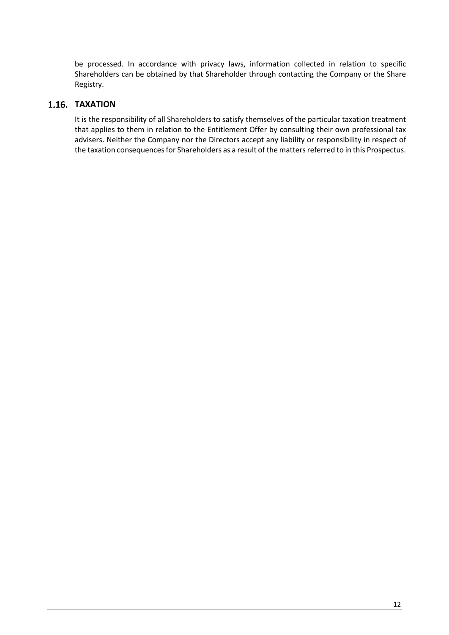be processed. In accordance with privacy laws, information collected in relation to specific Shareholders can be obtained by that Shareholder through contacting the Company or the Share Registry.

### **TAXATION**

It is the responsibility of all Shareholders to satisfy themselves of the particular taxation treatment that applies to them in relation to the Entitlement Offer by consulting their own professional tax advisers. Neither the Company nor the Directors accept any liability or responsibility in respect of the taxation consequences for Shareholders as a result of the matters referred to in this Prospectus.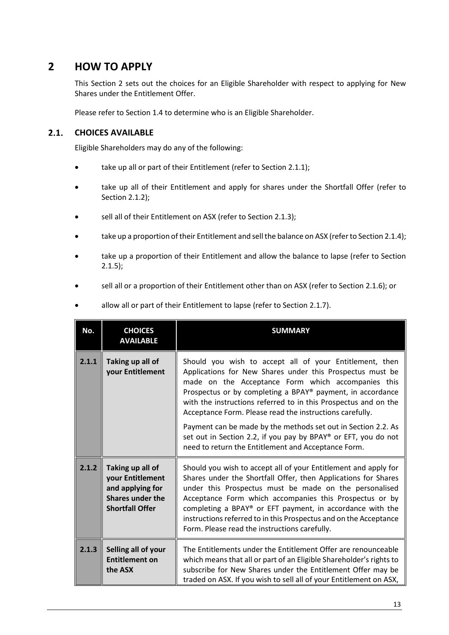## <span id="page-12-1"></span><span id="page-12-0"></span>**2 HOW TO APPLY**

This Section [2](#page-12-1) sets out the choices for an Eligible Shareholder with respect to applying for New Shares under the Entitlement Offer.

Please refer to Section [1.4](#page-8-0) to determine who is an Eligible Shareholder.

#### $2.1.$ **CHOICES AVAILABLE**

Eligible Shareholders may do any of the following:

- take up all or part of their Entitlement (refer to Section [2.1.1\)](#page-12-2);
- take up all of their Entitlement and apply for shares under the Shortfall Offer (refer to Section [2.1.2\)](#page-12-3);
- sell all of their Entitlement on ASX (refer to Sectio[n 2.1.3\)](#page-12-4);
- take up a proportion of their Entitlement and sell the balance on ASX (refer to Sectio[n 2.1.4\)](#page-13-0);
- take up a proportion of their Entitlement and allow the balance to lapse (refer to Section  $2.1.5$ );
- sell all or a proportion of their Entitlement other than on ASX (refer to Section [2.1.6\)](#page-13-2); or

<span id="page-12-4"></span><span id="page-12-3"></span><span id="page-12-2"></span>

| No.   | <b>CHOICES</b><br><b>AVAILABLE</b>                                                                            | <b>SUMMARY</b>                                                                                                                                                                                                                                                                                                                                                                                                                            |
|-------|---------------------------------------------------------------------------------------------------------------|-------------------------------------------------------------------------------------------------------------------------------------------------------------------------------------------------------------------------------------------------------------------------------------------------------------------------------------------------------------------------------------------------------------------------------------------|
| 2.1.1 | Taking up all of<br>your Entitlement                                                                          | Should you wish to accept all of your Entitlement, then<br>Applications for New Shares under this Prospectus must be<br>made on the Acceptance Form which accompanies this<br>Prospectus or by completing a BPAY® payment, in accordance<br>with the instructions referred to in this Prospectus and on the<br>Acceptance Form. Please read the instructions carefully.                                                                   |
|       |                                                                                                               | Payment can be made by the methods set out in Section 2.2. As<br>set out in Section 2.2, if you pay by BPAY® or EFT, you do not<br>need to return the Entitlement and Acceptance Form.                                                                                                                                                                                                                                                    |
| 2.1.2 | Taking up all of<br>your Entitlement<br>and applying for<br><b>Shares under the</b><br><b>Shortfall Offer</b> | Should you wish to accept all of your Entitlement and apply for<br>Shares under the Shortfall Offer, then Applications for Shares<br>under this Prospectus must be made on the personalised<br>Acceptance Form which accompanies this Prospectus or by<br>completing a BPAY® or EFT payment, in accordance with the<br>instructions referred to in this Prospectus and on the Acceptance<br>Form. Please read the instructions carefully. |
| 2.1.3 | Selling all of your<br><b>Entitlement on</b><br>the ASX                                                       | The Entitlements under the Entitlement Offer are renounceable<br>which means that all or part of an Eligible Shareholder's rights to<br>subscribe for New Shares under the Entitlement Offer may be<br>traded on ASX. If you wish to sell all of your Entitlement on ASX,                                                                                                                                                                 |

allow all or part of their Entitlement to lapse (refer to Section [2.1.7\)](#page-14-0).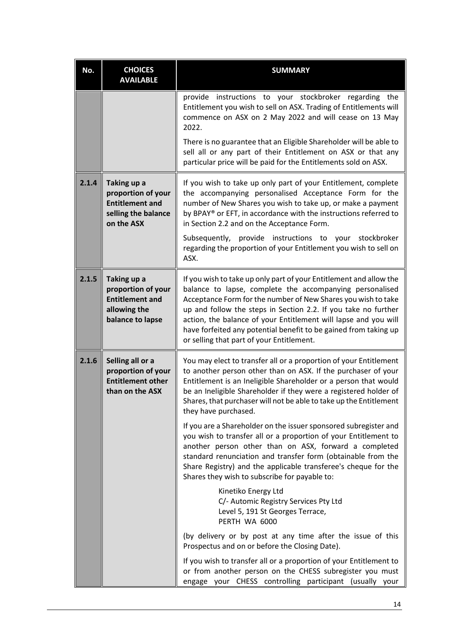<span id="page-13-2"></span><span id="page-13-1"></span><span id="page-13-0"></span>

| No.   | <b>CHOICES</b><br><b>AVAILABLE</b>                                                               | <b>SUMMARY</b>                                                                                                                                                                                                                                                                                                                                                                                                                                        |  |  |  |  |
|-------|--------------------------------------------------------------------------------------------------|-------------------------------------------------------------------------------------------------------------------------------------------------------------------------------------------------------------------------------------------------------------------------------------------------------------------------------------------------------------------------------------------------------------------------------------------------------|--|--|--|--|
|       |                                                                                                  | provide instructions to your stockbroker regarding<br>the<br>Entitlement you wish to sell on ASX. Trading of Entitlements will<br>commence on ASX on 2 May 2022 and will cease on 13 May<br>2022.                                                                                                                                                                                                                                                     |  |  |  |  |
|       |                                                                                                  | There is no guarantee that an Eligible Shareholder will be able to<br>sell all or any part of their Entitlement on ASX or that any<br>particular price will be paid for the Entitlements sold on ASX.                                                                                                                                                                                                                                                 |  |  |  |  |
| 2.1.4 | Taking up a<br>proportion of your<br><b>Entitlement and</b><br>selling the balance<br>on the ASX | If you wish to take up only part of your Entitlement, complete<br>the accompanying personalised Acceptance Form for the<br>number of New Shares you wish to take up, or make a payment<br>by BPAY® or EFT, in accordance with the instructions referred to<br>in Section 2.2 and on the Acceptance Form.                                                                                                                                              |  |  |  |  |
|       |                                                                                                  | Subsequently, provide instructions to your<br>stockbroker<br>regarding the proportion of your Entitlement you wish to sell on<br>ASX.                                                                                                                                                                                                                                                                                                                 |  |  |  |  |
| 2.1.5 | Taking up a<br>proportion of your<br><b>Entitlement and</b><br>allowing the<br>balance to lapse  | If you wish to take up only part of your Entitlement and allow the<br>balance to lapse, complete the accompanying personalised<br>Acceptance Form for the number of New Shares you wish to take<br>up and follow the steps in Section 2.2. If you take no further<br>action, the balance of your Entitlement will lapse and you will<br>have forfeited any potential benefit to be gained from taking up<br>or selling that part of your Entitlement. |  |  |  |  |
| 2.1.6 | Selling all or a<br>proportion of your<br><b>Entitlement other</b><br>than on the ASX            | You may elect to transfer all or a proportion of your Entitlement<br>to another person other than on ASX. If the purchaser of your<br>Entitlement is an Ineligible Shareholder or a person that would<br>be an Ineligible Shareholder if they were a registered holder of<br>Shares, that purchaser will not be able to take up the Entitlement<br>they have purchased.                                                                               |  |  |  |  |
|       |                                                                                                  | If you are a Shareholder on the issuer sponsored subregister and<br>you wish to transfer all or a proportion of your Entitlement to<br>another person other than on ASX, forward a completed<br>standard renunciation and transfer form (obtainable from the<br>Share Registry) and the applicable transferee's cheque for the<br>Shares they wish to subscribe for payable to:                                                                       |  |  |  |  |
|       |                                                                                                  | Kinetiko Energy Ltd<br>C/- Automic Registry Services Pty Ltd<br>Level 5, 191 St Georges Terrace,<br>PERTH WA 6000                                                                                                                                                                                                                                                                                                                                     |  |  |  |  |
|       |                                                                                                  | (by delivery or by post at any time after the issue of this<br>Prospectus and on or before the Closing Date).                                                                                                                                                                                                                                                                                                                                         |  |  |  |  |
|       |                                                                                                  | If you wish to transfer all or a proportion of your Entitlement to<br>or from another person on the CHESS subregister you must<br>engage your CHESS controlling participant (usually your                                                                                                                                                                                                                                                             |  |  |  |  |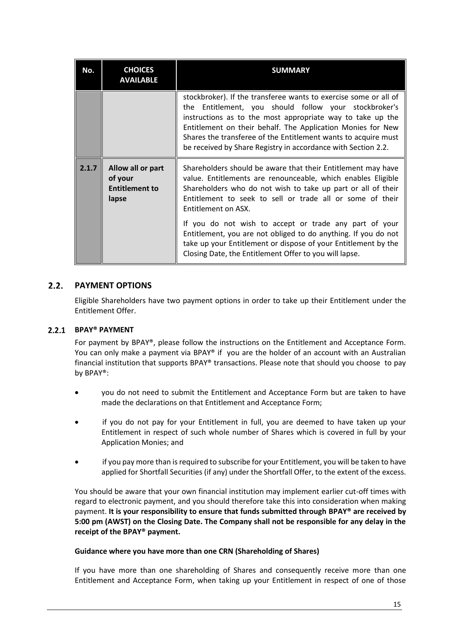<span id="page-14-0"></span>

| No.   | <b>CHOICES</b><br><b>AVAILABLE</b>                             | <b>SUMMARY</b>                                                                                                                                                                                                                                                                                                                                                                                                                                                                                                                           |
|-------|----------------------------------------------------------------|------------------------------------------------------------------------------------------------------------------------------------------------------------------------------------------------------------------------------------------------------------------------------------------------------------------------------------------------------------------------------------------------------------------------------------------------------------------------------------------------------------------------------------------|
|       |                                                                | stockbroker). If the transferee wants to exercise some or all of<br>the Entitlement, you should follow your stockbroker's<br>instructions as to the most appropriate way to take up the<br>Entitlement on their behalf. The Application Monies for New<br>Shares the transferee of the Entitlement wants to acquire must<br>be received by Share Registry in accordance with Section 2.2.                                                                                                                                                |
| 2.1.7 | Allow all or part<br>of your<br><b>Entitlement to</b><br>lapse | Shareholders should be aware that their Entitlement may have<br>value. Entitlements are renounceable, which enables Eligible<br>Shareholders who do not wish to take up part or all of their<br>Entitlement to seek to sell or trade all or some of their<br>Entitlement on ASX.<br>If you do not wish to accept or trade any part of your<br>Entitlement, you are not obliged to do anything. If you do not<br>take up your Entitlement or dispose of your Entitlement by the<br>Closing Date, the Entitlement Offer to you will lapse. |

#### <span id="page-14-1"></span> $2.2.$ **PAYMENT OPTIONS**

Eligible Shareholders have two payment options in order to take up their Entitlement under the Entitlement Offer.

### **BPAY® PAYMENT**

For payment by BPAY®, please follow the instructions on the Entitlement and Acceptance Form. You can only make a payment via BPAY® if you are the holder of an account with an Australian financial institution that supports BPAY® transactions. Please note that should you choose to pay by BPAY®:

- you do not need to submit the Entitlement and Acceptance Form but are taken to have made the declarations on that Entitlement and Acceptance Form;
- if you do not pay for your Entitlement in full, you are deemed to have taken up your Entitlement in respect of such whole number of Shares which is covered in full by your Application Monies; and
- if you pay more than is required to subscribe for your Entitlement, you will be taken to have applied for Shortfall Securities (if any) under the Shortfall Offer, to the extent of the excess.

You should be aware that your own financial institution may implement earlier cut-off times with regard to electronic payment, and you should therefore take this into consideration when making payment. **It is your responsibility to ensure that funds submitted through BPAY® are received by 5:00 pm (AWST) on the Closing Date. The Company shall not be responsible for any delay in the receipt of the BPAY® payment.**

### **Guidance where you have more than one CRN (Shareholding of Shares)**

If you have more than one shareholding of Shares and consequently receive more than one Entitlement and Acceptance Form, when taking up your Entitlement in respect of one of those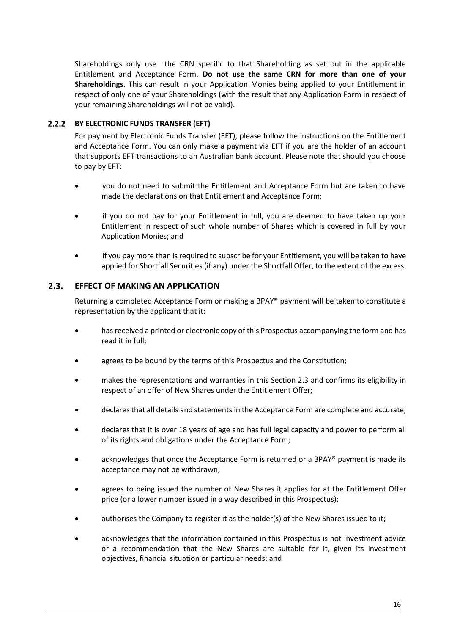Shareholdings only use the CRN specific to that Shareholding as set out in the applicable Entitlement and Acceptance Form. **Do not use the same CRN for more than one of your Shareholdings**. This can result in your Application Monies being applied to your Entitlement in respect of only one of your Shareholdings (with the result that any Application Form in respect of your remaining Shareholdings will not be valid).

### **BY ELECTRONIC FUNDS TRANSFER (EFT)**

For payment by Electronic Funds Transfer (EFT), please follow the instructions on the Entitlement and Acceptance Form. You can only make a payment via EFT if you are the holder of an account that supports EFT transactions to an Australian bank account. Please note that should you choose to pay by EFT:

- you do not need to submit the Entitlement and Acceptance Form but are taken to have made the declarations on that Entitlement and Acceptance Form;
- if you do not pay for your Entitlement in full, you are deemed to have taken up your Entitlement in respect of such whole number of Shares which is covered in full by your Application Monies; and
- if you pay more than is required to subscribe for your Entitlement, you will be taken to have applied for Shortfall Securities (if any) under the Shortfall Offer, to the extent of the excess.

#### <span id="page-15-0"></span> $2.3.$ **EFFECT OF MAKING AN APPLICATION**

Returning a completed Acceptance Form or making a BPAY® payment will be taken to constitute a representation by the applicant that it:

- has received a printed or electronic copy of this Prospectus accompanying the form and has read it in full;
- agrees to be bound by the terms of this Prospectus and the Constitution;
- makes the representations and warranties in this Section [2.3](#page-15-0) and confirms its eligibility in respect of an offer of New Shares under the Entitlement Offer;
- declares that all details and statements in the Acceptance Form are complete and accurate;
- declares that it is over 18 years of age and has full legal capacity and power to perform all of its rights and obligations under the Acceptance Form;
- acknowledges that once the Acceptance Form is returned or a BPAY® payment is made its acceptance may not be withdrawn;
- agrees to being issued the number of New Shares it applies for at the Entitlement Offer price (or a lower number issued in a way described in this Prospectus);
- authorises the Company to register it as the holder(s) of the New Shares issued to it;
- acknowledges that the information contained in this Prospectus is not investment advice or a recommendation that the New Shares are suitable for it, given its investment objectives, financial situation or particular needs; and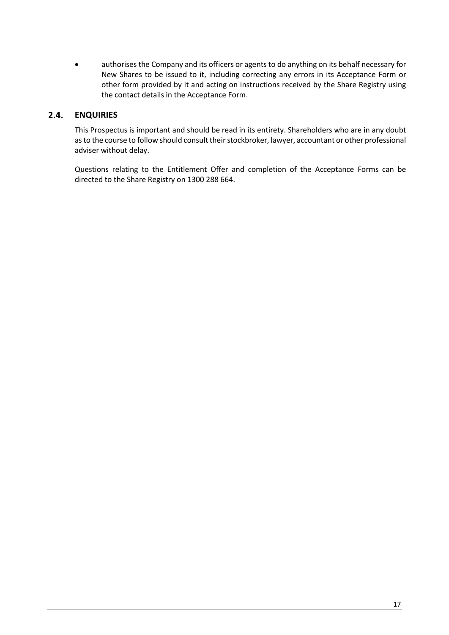• authorises the Company and its officers or agents to do anything on its behalf necessary for New Shares to be issued to it, including correcting any errors in its Acceptance Form or other form provided by it and acting on instructions received by the Share Registry using the contact details in the Acceptance Form.

#### $2.4.$ **ENQUIRIES**

This Prospectus is important and should be read in its entirety. Shareholders who are in any doubt as to the course to follow should consult their stockbroker, lawyer, accountant or other professional adviser without delay.

Questions relating to the Entitlement Offer and completion of the Acceptance Forms can be directed to the Share Registry on 1300 288 664.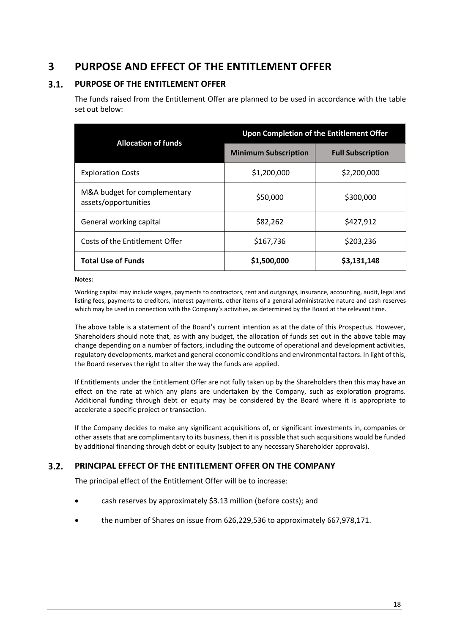## <span id="page-17-0"></span>**3 PURPOSE AND EFFECT OF THE ENTITLEMENT OFFER**

#### <span id="page-17-1"></span> $3.1.$ **PURPOSE OF THE ENTITLEMENT OFFER**

The funds raised from the Entitlement Offer are planned to be used in accordance with the table set out below:

|                                                      | Upon Completion of the Entitlement Offer |                          |  |  |
|------------------------------------------------------|------------------------------------------|--------------------------|--|--|
| <b>Allocation of funds</b>                           | <b>Minimum Subscription</b>              | <b>Full Subscription</b> |  |  |
| <b>Exploration Costs</b>                             | \$1,200,000                              | \$2,200,000              |  |  |
| M&A budget for complementary<br>assets/opportunities | \$50,000                                 | \$300,000                |  |  |
| General working capital                              | \$82,262                                 | \$427,912                |  |  |
| Costs of the Entitlement Offer                       | \$167,736                                | \$203,236                |  |  |
| <b>Total Use of Funds</b>                            | \$1,500,000                              | \$3,131,148              |  |  |

#### **Notes:**

Working capital may include wages, payments to contractors, rent and outgoings, insurance, accounting, audit, legal and listing fees, payments to creditors, interest payments, other items of a general administrative nature and cash reserves which may be used in connection with the Company's activities, as determined by the Board at the relevant time.

The above table is a statement of the Board's current intention as at the date of this Prospectus. However, Shareholders should note that, as with any budget, the allocation of funds set out in the above table may change depending on a number of factors, including the outcome of operational and development activities, regulatory developments, market and general economic conditions and environmental factors. In light of this, the Board reserves the right to alter the way the funds are applied.

If Entitlements under the Entitlement Offer are not fully taken up by the Shareholders then this may have an effect on the rate at which any plans are undertaken by the Company, such as exploration programs. Additional funding through debt or equity may be considered by the Board where it is appropriate to accelerate a specific project or transaction.

If the Company decides to make any significant acquisitions of, or significant investments in, companies or other assets that are complimentary to its business, then it is possible that such acquisitions would be funded by additional financing through debt or equity (subject to any necessary Shareholder approvals).

#### $3.2.$ **PRINCIPAL EFFECT OF THE ENTITLEMENT OFFER ON THE COMPANY**

The principal effect of the Entitlement Offer will be to increase:

- cash reserves by approximately \$3.13 million (before costs); and
- the number of Shares on issue from 626,229,536 to approximately 667,978,171.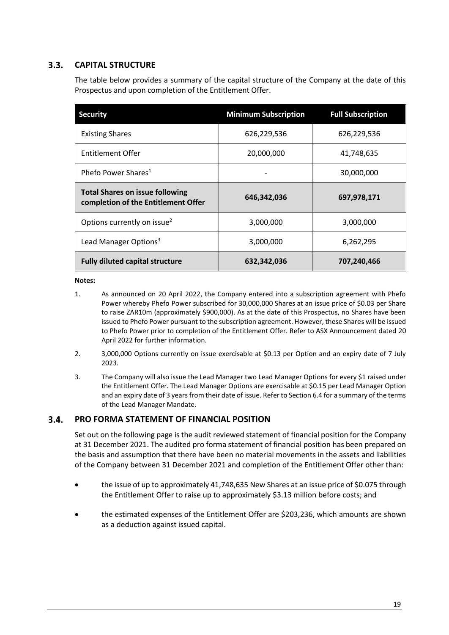#### $3.3.$ **CAPITAL STRUCTURE**

The table below provides a summary of the capital structure of the Company at the date of this Prospectus and upon completion of the Entitlement Offer.

| <b>Security</b>                                                               | <b>Minimum Subscription</b> | <b>Full Subscription</b> |
|-------------------------------------------------------------------------------|-----------------------------|--------------------------|
| <b>Existing Shares</b>                                                        | 626,229,536                 | 626,229,536              |
| Entitlement Offer                                                             | 20,000,000                  | 41,748,635               |
| Phefo Power Shares <sup>1</sup>                                               |                             | 30,000,000               |
| <b>Total Shares on issue following</b><br>completion of the Entitlement Offer | 646,342,036                 | 697,978,171              |
| Options currently on issue <sup>2</sup>                                       | 3,000,000                   | 3,000,000                |
| Lead Manager Options <sup>3</sup>                                             | 3,000,000                   | 6,262,295                |
| <b>Fully diluted capital structure</b>                                        | 632,342,036                 | 707,240,466              |

#### **Notes:**

- 1. As announced on 20 April 2022, the Company entered into a subscription agreement with Phefo Power whereby Phefo Power subscribed for 30,000,000 Shares at an issue price of \$0.03 per Share to raise ZAR10m (approximately \$900,000). As at the date of this Prospectus, no Shares have been issued to Phefo Power pursuant to the subscription agreement. However, these Shares will be issued to Phefo Power prior to completion of the Entitlement Offer. Refer to ASX Announcement dated 20 April 2022 for further information.
- 2. 3,000,000 Options currently on issue exercisable at \$0.13 per Option and an expiry date of 7 July 2023.
- 3. The Company will also issue the Lead Manager two Lead Manager Options for every \$1 raised under the Entitlement Offer. The Lead Manager Options are exercisable at \$0.15 per Lead Manager Option and an expiry date of 3 years from their date of issue. Refer to Section [6.4](#page-36-0) for a summary of the terms of the Lead Manager Mandate.

#### $3.4.$ **PRO FORMA STATEMENT OF FINANCIAL POSITION**

Set out on the following page is the audit reviewed statement of financial position for the Company at 31 December 2021. The audited pro forma statement of financial position has been prepared on the basis and assumption that there have been no material movements in the assets and liabilities of the Company between 31 December 2021 and completion of the Entitlement Offer other than:

- the issue of up to approximately 41,748,635 New Shares at an issue price of \$0.075 through the Entitlement Offer to raise up to approximately \$3.13 million before costs; and
- the estimated expenses of the Entitlement Offer are \$203,236, which amounts are shown as a deduction against issued capital.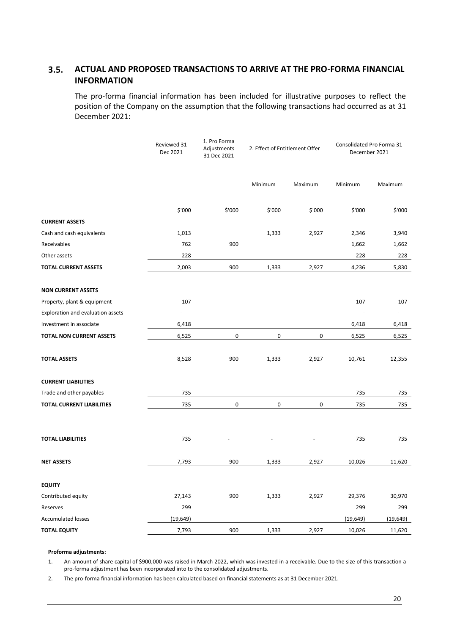#### $3.5.$ **ACTUAL AND PROPOSED TRANSACTIONS TO ARRIVE AT THE PRO-FORMA FINANCIAL INFORMATION**

The pro-forma financial information has been included for illustrative purposes to reflect the position of the Company on the assumption that the following transactions had occurred as at 31 December 2021:

|                                   | Reviewed 31<br>Dec 2021 | 1. Pro Forma<br>Adjustments<br>31 Dec 2021 | 2. Effect of Entitlement Offer |         | Consolidated Pro Forma 31<br>December 2021 |           |
|-----------------------------------|-------------------------|--------------------------------------------|--------------------------------|---------|--------------------------------------------|-----------|
|                                   |                         |                                            | Minimum                        | Maximum | Minimum                                    | Maximum   |
|                                   | \$'000                  | \$'000                                     | \$'000                         | \$'000  | \$'000                                     | \$'000    |
| <b>CURRENT ASSETS</b>             |                         |                                            |                                |         |                                            |           |
| Cash and cash equivalents         | 1,013                   |                                            | 1,333                          | 2,927   | 2,346                                      | 3,940     |
| Receivables                       | 762                     | 900                                        |                                |         | 1,662                                      | 1,662     |
| Other assets                      | 228                     |                                            |                                |         | 228                                        | 228       |
| <b>TOTAL CURRENT ASSETS</b>       | 2,003                   | 900                                        | 1,333                          | 2,927   | 4,236                                      | 5,830     |
| <b>NON CURRENT ASSETS</b>         |                         |                                            |                                |         |                                            |           |
| Property, plant & equipment       | 107                     |                                            |                                |         | 107                                        | 107       |
| Exploration and evaluation assets |                         |                                            |                                |         |                                            |           |
| Investment in associate           | 6,418                   |                                            |                                |         | 6,418                                      | 6,418     |
| TOTAL NON CURRENT ASSETS          | 6,525                   | 0                                          | 0                              | 0       | 6,525                                      | 6,525     |
| <b>TOTAL ASSETS</b>               | 8,528                   | 900                                        | 1,333                          | 2,927   | 10,761                                     | 12,355    |
| <b>CURRENT LIABILITIES</b>        |                         |                                            |                                |         |                                            |           |
| Trade and other payables          | 735                     |                                            |                                |         | 735                                        | 735       |
| TOTAL CURRENT LIABILITIES         | 735                     | 0                                          | 0                              | 0       | 735                                        | 735       |
| <b>TOTAL LIABILITIES</b>          | 735                     |                                            |                                |         | 735                                        | 735       |
| <b>NET ASSETS</b>                 | 7,793                   | 900                                        | 1,333                          | 2,927   | 10,026                                     | 11,620    |
| <b>EQUITY</b>                     |                         |                                            |                                |         |                                            |           |
| Contributed equity                | 27,143                  | 900                                        | 1,333                          | 2,927   | 29,376                                     | 30,970    |
| Reserves                          | 299                     |                                            |                                |         | 299                                        | 299       |
| <b>Accumulated losses</b>         | (19, 649)               |                                            |                                |         | (19, 649)                                  | (19, 649) |
| <b>TOTAL EQUITY</b>               | 7,793                   | 900                                        | 1,333                          | 2,927   | 10,026                                     | 11,620    |

#### **Proforma adjustments:**

1. An amount of share capital of \$900,000 was raised in March 2022, which was invested in a receivable. Due to the size of this transaction a pro-forma adjustment has been incorporated into to the consolidated adjustments.

2. The pro-forma financial information has been calculated based on financial statements as at 31 December 2021.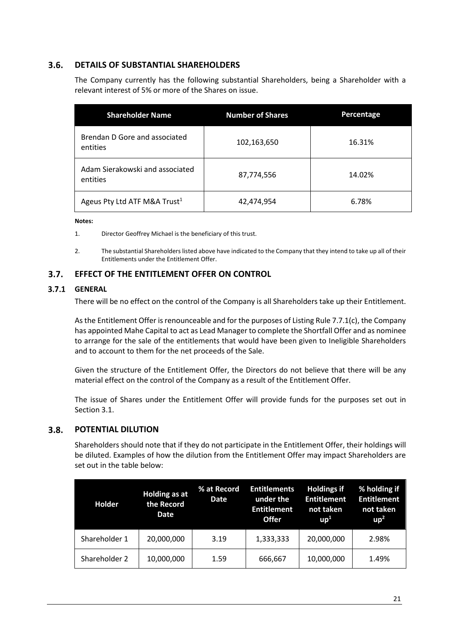#### $3.6.$ **DETAILS OF SUBSTANTIAL SHAREHOLDERS**

The Company currently has the following substantial Shareholders, being a Shareholder with a relevant interest of 5% or more of the Shares on issue.

| <b>Shareholder Name</b>                     | <b>Number of Shares</b> | Percentage |  |
|---------------------------------------------|-------------------------|------------|--|
| Brendan D Gore and associated<br>entities   | 102,163,650             | 16.31%     |  |
| Adam Sierakowski and associated<br>entities | 87,774,556              | 14.02%     |  |
| Ageus Pty Ltd ATF M&A Trust <sup>1</sup>    | 42,474,954              | 6.78%      |  |

#### **Notes:**

- 1. Director Geoffrey Michael is the beneficiary of this trust.
- 2. The substantial Shareholders listed above have indicated to the Company that they intend to take up all of their Entitlements under the Entitlement Offer.

#### $3.7.$ **EFFECT OF THE ENTITLEMENT OFFER ON CONTROL**

### **GENERAL**

There will be no effect on the control of the Company is all Shareholders take up their Entitlement.

As the Entitlement Offer is renounceable and for the purposes of Listing Rule 7.7.1(c), the Company has appointed Mahe Capital to act as Lead Manager to complete the Shortfall Offer and as nominee to arrange for the sale of the entitlements that would have been given to Ineligible Shareholders and to account to them for the net proceeds of the Sale.

Given the structure of the Entitlement Offer, the Directors do not believe that there will be any material effect on the control of the Company as a result of the Entitlement Offer.

The issue of Shares under the Entitlement Offer will provide funds for the purposes set out in Sectio[n 3.1.](#page-17-1)

#### $3.8.$ **POTENTIAL DILUTION**

Shareholders should note that if they do not participate in the Entitlement Offer, their holdings will be diluted. Examples of how the dilution from the Entitlement Offer may impact Shareholders are set out in the table below:

| <b>Holder</b> | <b>Holding as at</b><br>the Record<br>Date | % at Record<br>Date | <b>Entitlements</b><br>under the<br><b>Entitlement</b><br><b>Offer</b> | <b>Holdings if</b><br><b>Entitlement</b><br>not taken<br>up <sup>1</sup> | % holding if<br><b>Entitlement</b><br>not taken<br>up <sup>2</sup> |
|---------------|--------------------------------------------|---------------------|------------------------------------------------------------------------|--------------------------------------------------------------------------|--------------------------------------------------------------------|
| Shareholder 1 | 20,000,000                                 | 3.19                | 1,333,333                                                              | 20,000,000                                                               | 2.98%                                                              |
| Shareholder 2 | 10,000,000                                 | 1.59                | 666,667                                                                | 10,000,000                                                               | 1.49%                                                              |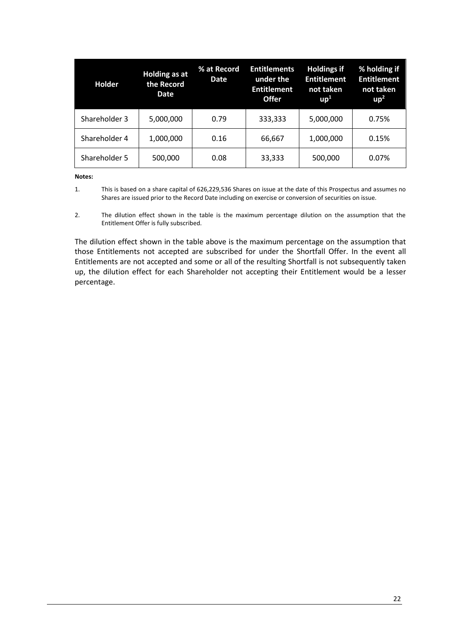| <b>Holder</b> | Holding as at<br>the Record<br>Date | % at Record<br>Date | <b>Entitlements</b><br>under the<br><b>Entitlement</b><br><b>Offer</b> | <b>Holdings if</b><br><b>Entitlement</b><br>not taken<br>up <sup>1</sup> | % holding if<br><b>Entitlement</b><br>not taken<br>up <sup>2</sup> |
|---------------|-------------------------------------|---------------------|------------------------------------------------------------------------|--------------------------------------------------------------------------|--------------------------------------------------------------------|
| Shareholder 3 | 5,000,000                           | 0.79                | 333,333                                                                | 5,000,000                                                                | 0.75%                                                              |
| Shareholder 4 | 1,000,000                           | 0.16                | 66,667                                                                 | 1,000,000                                                                | 0.15%                                                              |
| Shareholder 5 | 500,000                             | 0.08                | 33,333                                                                 | 500,000                                                                  | 0.07%                                                              |

**Notes:**

- 1. This is based on a share capital of 626,229,536 Shares on issue at the date of this Prospectus and assumes no Shares are issued prior to the Record Date including on exercise or conversion of securities on issue.
- 2. The dilution effect shown in the table is the maximum percentage dilution on the assumption that the Entitlement Offer is fully subscribed.

The dilution effect shown in the table above is the maximum percentage on the assumption that those Entitlements not accepted are subscribed for under the Shortfall Offer. In the event all Entitlements are not accepted and some or all of the resulting Shortfall is not subsequently taken up, the dilution effect for each Shareholder not accepting their Entitlement would be a lesser percentage.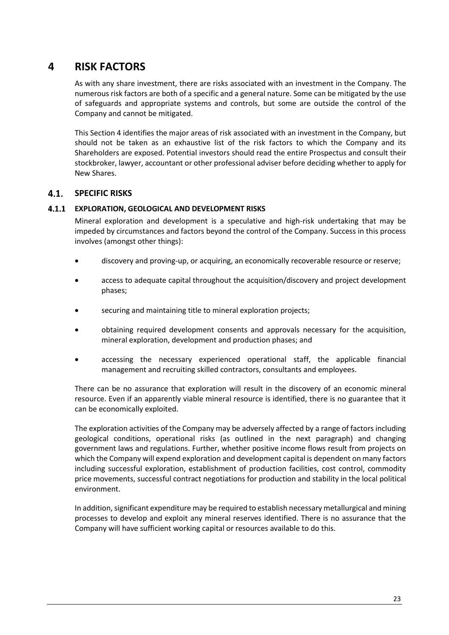## <span id="page-22-1"></span><span id="page-22-0"></span>**4 RISK FACTORS**

As with any share investment, there are risks associated with an investment in the Company. The numerous risk factors are both of a specific and a general nature. Some can be mitigated by the use of safeguards and appropriate systems and controls, but some are outside the control of the Company and cannot be mitigated.

This Section [4](#page-22-1) identifies the major areas of risk associated with an investment in the Company, but should not be taken as an exhaustive list of the risk factors to which the Company and its Shareholders are exposed. Potential investors should read the entire Prospectus and consult their stockbroker, lawyer, accountant or other professional adviser before deciding whether to apply for New Shares.

#### $4.1.$ **SPECIFIC RISKS**

### **EXPLORATION, GEOLOGICAL AND DEVELOPMENT RISKS**

Mineral exploration and development is a speculative and high-risk undertaking that may be impeded by circumstances and factors beyond the control of the Company. Success in this process involves (amongst other things):

- discovery and proving-up, or acquiring, an economically recoverable resource or reserve;
- access to adequate capital throughout the acquisition/discovery and project development phases;
- securing and maintaining title to mineral exploration projects;
- obtaining required development consents and approvals necessary for the acquisition, mineral exploration, development and production phases; and
- accessing the necessary experienced operational staff, the applicable financial management and recruiting skilled contractors, consultants and employees.

There can be no assurance that exploration will result in the discovery of an economic mineral resource. Even if an apparently viable mineral resource is identified, there is no guarantee that it can be economically exploited.

The exploration activities of the Company may be adversely affected by a range of factors including geological conditions, operational risks (as outlined in the next paragraph) and changing government laws and regulations. Further, whether positive income flows result from projects on which the Company will expend exploration and development capital is dependent on many factors including successful exploration, establishment of production facilities, cost control, commodity price movements, successful contract negotiations for production and stability in the local political environment.

In addition, significant expenditure may be required to establish necessary metallurgical and mining processes to develop and exploit any mineral reserves identified. There is no assurance that the Company will have sufficient working capital or resources available to do this.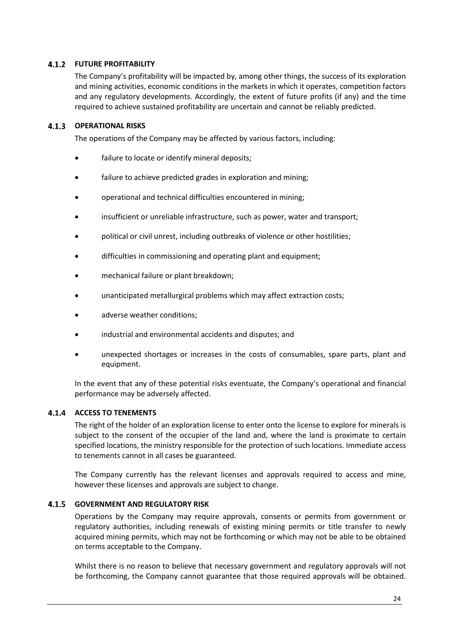### **FUTURE PROFITABILITY**

The Company's profitability will be impacted by, among other things, the success of its exploration and mining activities, economic conditions in the markets in which it operates, competition factors and any regulatory developments. Accordingly, the extent of future profits (if any) and the time required to achieve sustained profitability are uncertain and cannot be reliably predicted.

### **4.1.3 OPERATIONAL RISKS**

The operations of the Company may be affected by various factors, including:

- failure to locate or identify mineral deposits;
- failure to achieve predicted grades in exploration and mining;
- operational and technical difficulties encountered in mining;
- insufficient or unreliable infrastructure, such as power, water and transport;
- political or civil unrest, including outbreaks of violence or other hostilities;
- difficulties in commissioning and operating plant and equipment;
- mechanical failure or plant breakdown;
- unanticipated metallurgical problems which may affect extraction costs;
- adverse weather conditions;
- industrial and environmental accidents and disputes; and
- unexpected shortages or increases in the costs of consumables, spare parts, plant and equipment.

In the event that any of these potential risks eventuate, the Company's operational and financial performance may be adversely affected.

### **4.1.4 ACCESS TO TENEMENTS**

The right of the holder of an exploration license to enter onto the license to explore for minerals is subject to the consent of the occupier of the land and, where the land is proximate to certain specified locations, the ministry responsible for the protection of such locations. Immediate access to tenements cannot in all cases be guaranteed.

The Company currently has the relevant licenses and approvals required to access and mine, however these licenses and approvals are subject to change.

#### **GOVERNMENT AND REGULATORY RISK**

Operations by the Company may require approvals, consents or permits from government or regulatory authorities, including renewals of existing mining permits or title transfer to newly acquired mining permits, which may not be forthcoming or which may not be able to be obtained on terms acceptable to the Company.

Whilst there is no reason to believe that necessary government and regulatory approvals will not be forthcoming, the Company cannot guarantee that those required approvals will be obtained.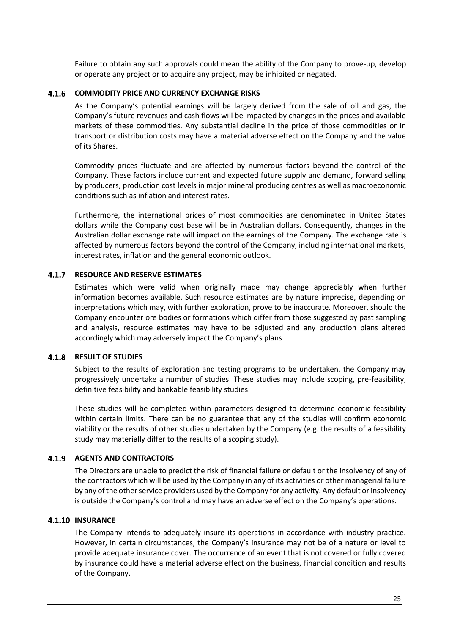Failure to obtain any such approvals could mean the ability of the Company to prove-up, develop or operate any project or to acquire any project, may be inhibited or negated.

#### **COMMODITY PRICE AND CURRENCY EXCHANGE RISKS**

As the Company's potential earnings will be largely derived from the sale of oil and gas, the Company's future revenues and cash flows will be impacted by changes in the prices and available markets of these commodities. Any substantial decline in the price of those commodities or in transport or distribution costs may have a material adverse effect on the Company and the value of its Shares.

Commodity prices fluctuate and are affected by numerous factors beyond the control of the Company. These factors include current and expected future supply and demand, forward selling by producers, production cost levels in major mineral producing centres as well as macroeconomic conditions such as inflation and interest rates.

Furthermore, the international prices of most commodities are denominated in United States dollars while the Company cost base will be in Australian dollars. Consequently, changes in the Australian dollar exchange rate will impact on the earnings of the Company. The exchange rate is affected by numerous factors beyond the control of the Company, including international markets, interest rates, inflation and the general economic outlook.

#### **RESOURCE AND RESERVE ESTIMATES**

Estimates which were valid when originally made may change appreciably when further information becomes available. Such resource estimates are by nature imprecise, depending on interpretations which may, with further exploration, prove to be inaccurate. Moreover, should the Company encounter ore bodies or formations which differ from those suggested by past sampling and analysis, resource estimates may have to be adjusted and any production plans altered accordingly which may adversely impact the Company's plans.

#### **RESULT OF STUDIES**

Subject to the results of exploration and testing programs to be undertaken, the Company may progressively undertake a number of studies. These studies may include scoping, pre-feasibility, definitive feasibility and bankable feasibility studies.

These studies will be completed within parameters designed to determine economic feasibility within certain limits. There can be no guarantee that any of the studies will confirm economic viability or the results of other studies undertaken by the Company (e.g. the results of a feasibility study may materially differ to the results of a scoping study).

#### $4.1.9$ **AGENTS AND CONTRACTORS**

The Directors are unable to predict the risk of financial failure or default or the insolvency of any of the contractors which will be used by the Company in any of its activities or other managerial failure by any of the other service providers used by the Company for any activity. Any default or insolvency is outside the Company's control and may have an adverse effect on the Company's operations.

#### **4.1.10 INSURANCE**

The Company intends to adequately insure its operations in accordance with industry practice. However, in certain circumstances, the Company's insurance may not be of a nature or level to provide adequate insurance cover. The occurrence of an event that is not covered or fully covered by insurance could have a material adverse effect on the business, financial condition and results of the Company.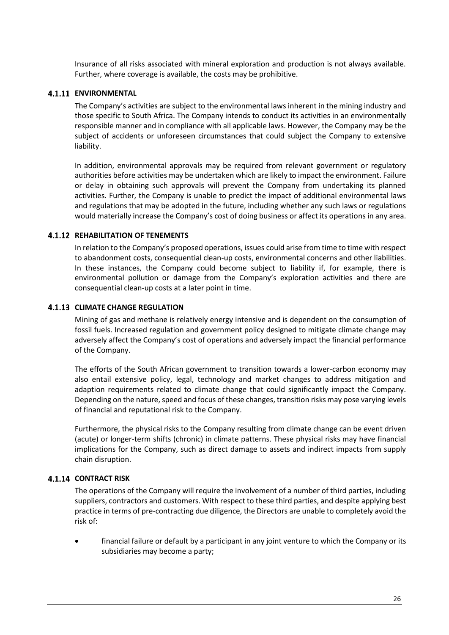Insurance of all risks associated with mineral exploration and production is not always available. Further, where coverage is available, the costs may be prohibitive.

#### **ENVIRONMENTAL**

The Company's activities are subject to the environmental laws inherent in the mining industry and those specific to South Africa. The Company intends to conduct its activities in an environmentally responsible manner and in compliance with all applicable laws. However, the Company may be the subject of accidents or unforeseen circumstances that could subject the Company to extensive liability.

In addition, environmental approvals may be required from relevant government or regulatory authorities before activities may be undertaken which are likely to impact the environment. Failure or delay in obtaining such approvals will prevent the Company from undertaking its planned activities. Further, the Company is unable to predict the impact of additional environmental laws and regulations that may be adopted in the future, including whether any such laws or regulations would materially increase the Company's cost of doing business or affect its operations in any area.

#### **4.1.12 REHABILITATION OF TENEMENTS**

In relation to the Company's proposed operations, issues could arise from time to time with respect to abandonment costs, consequential clean-up costs, environmental concerns and other liabilities. In these instances, the Company could become subject to liability if, for example, there is environmental pollution or damage from the Company's exploration activities and there are consequential clean-up costs at a later point in time.

#### **4.1.13 CLIMATE CHANGE REGULATION**

Mining of gas and methane is relatively energy intensive and is dependent on the consumption of fossil fuels. Increased regulation and government policy designed to mitigate climate change may adversely affect the Company's cost of operations and adversely impact the financial performance of the Company.

The efforts of the South African government to transition towards a lower-carbon economy may also entail extensive policy, legal, technology and market changes to address mitigation and adaption requirements related to climate change that could significantly impact the Company. Depending on the nature, speed and focus of these changes, transition risks may pose varying levels of financial and reputational risk to the Company.

Furthermore, the physical risks to the Company resulting from climate change can be event driven (acute) or longer-term shifts (chronic) in climate patterns. These physical risks may have financial implications for the Company, such as direct damage to assets and indirect impacts from supply chain disruption.

#### **4.1.14 CONTRACT RISK**

The operations of the Company will require the involvement of a number of third parties, including suppliers, contractors and customers. With respect to these third parties, and despite applying best practice in terms of pre-contracting due diligence, the Directors are unable to completely avoid the risk of:

• financial failure or default by a participant in any joint venture to which the Company or its subsidiaries may become a party;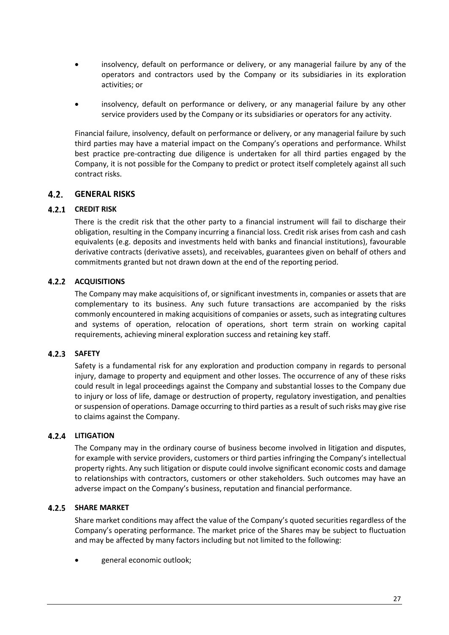- insolvency, default on performance or delivery, or any managerial failure by any of the operators and contractors used by the Company or its subsidiaries in its exploration activities; or
- insolvency, default on performance or delivery, or any managerial failure by any other service providers used by the Company or its subsidiaries or operators for any activity.

Financial failure, insolvency, default on performance or delivery, or any managerial failure by such third parties may have a material impact on the Company's operations and performance. Whilst best practice pre-contracting due diligence is undertaken for all third parties engaged by the Company, it is not possible for the Company to predict or protect itself completely against all such contract risks.

#### $4.2.$ **GENERAL RISKS**

### **4.2.1 CREDIT RISK**

There is the credit risk that the other party to a financial instrument will fail to discharge their obligation, resulting in the Company incurring a financial loss. Credit risk arises from cash and cash equivalents (e.g. deposits and investments held with banks and financial institutions), favourable derivative contracts (derivative assets), and receivables, guarantees given on behalf of others and commitments granted but not drawn down at the end of the reporting period.

#### **4.2.2 ACQUISITIONS**

The Company may make acquisitions of, or significant investments in, companies or assets that are complementary to its business. Any such future transactions are accompanied by the risks commonly encountered in making acquisitions of companies or assets, such as integrating cultures and systems of operation, relocation of operations, short term strain on working capital requirements, achieving mineral exploration success and retaining key staff.

### **SAFETY**

Safety is a fundamental risk for any exploration and production company in regards to personal injury, damage to property and equipment and other losses. The occurrence of any of these risks could result in legal proceedings against the Company and substantial losses to the Company due to injury or loss of life, damage or destruction of property, regulatory investigation, and penalties or suspension of operations. Damage occurring to third parties as a result of such risks may give rise to claims against the Company.

### **4.2.4 LITIGATION**

The Company may in the ordinary course of business become involved in litigation and disputes, for example with service providers, customers or third parties infringing the Company's intellectual property rights. Any such litigation or dispute could involve significant economic costs and damage to relationships with contractors, customers or other stakeholders. Such outcomes may have an adverse impact on the Company's business, reputation and financial performance.

#### $4.2.5$ **SHARE MARKET**

Share market conditions may affect the value of the Company's quoted securities regardless of the Company's operating performance. The market price of the Shares may be subject to fluctuation and may be affected by many factors including but not limited to the following:

• general economic outlook;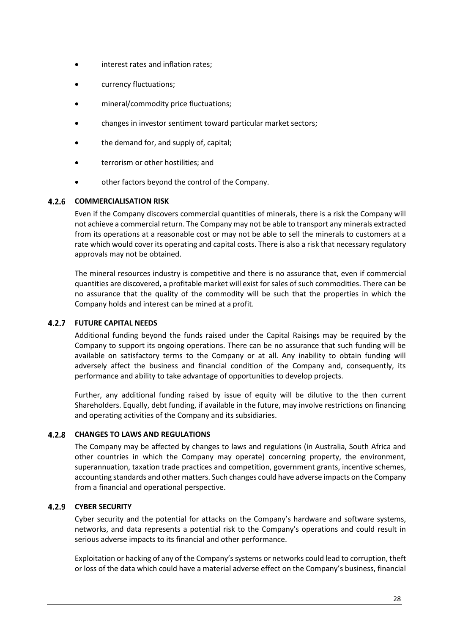- interest rates and inflation rates;
- currency fluctuations;
- mineral/commodity price fluctuations;
- changes in investor sentiment toward particular market sectors;
- the demand for, and supply of, capital;
- terrorism or other hostilities; and
- other factors beyond the control of the Company.

### **COMMERCIALISATION RISK**

Even if the Company discovers commercial quantities of minerals, there is a risk the Company will not achieve a commercial return. The Company may not be able to transport any minerals extracted from its operations at a reasonable cost or may not be able to sell the minerals to customers at a rate which would cover its operating and capital costs. There is also a risk that necessary regulatory approvals may not be obtained.

The mineral resources industry is competitive and there is no assurance that, even if commercial quantities are discovered, a profitable market will exist for sales of such commodities. There can be no assurance that the quality of the commodity will be such that the properties in which the Company holds and interest can be mined at a profit.

### **FUTURE CAPITAL NEEDS**

Additional funding beyond the funds raised under the Capital Raisings may be required by the Company to support its ongoing operations. There can be no assurance that such funding will be available on satisfactory terms to the Company or at all. Any inability to obtain funding will adversely affect the business and financial condition of the Company and, consequently, its performance and ability to take advantage of opportunities to develop projects.

Further, any additional funding raised by issue of equity will be dilutive to the then current Shareholders. Equally, debt funding, if available in the future, may involve restrictions on financing and operating activities of the Company and its subsidiaries.

### **CHANGES TO LAWS AND REGULATIONS**

The Company may be affected by changes to laws and regulations (in Australia, South Africa and other countries in which the Company may operate) concerning property, the environment, superannuation, taxation trade practices and competition, government grants, incentive schemes, accounting standards and other matters. Such changes could have adverse impacts on the Company from a financial and operational perspective.

### **CYBER SECURITY**

Cyber security and the potential for attacks on the Company's hardware and software systems, networks, and data represents a potential risk to the Company's operations and could result in serious adverse impacts to its financial and other performance.

Exploitation or hacking of any of the Company's systems or networks could lead to corruption, theft or loss of the data which could have a material adverse effect on the Company's business, financial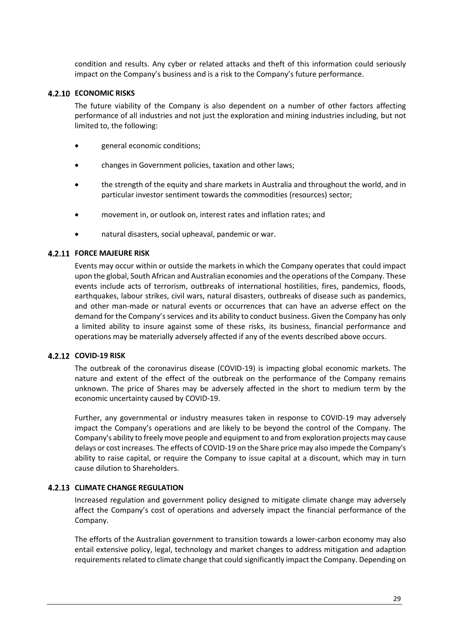condition and results. Any cyber or related attacks and theft of this information could seriously impact on the Company's business and is a risk to the Company's future performance.

#### **4.2.10 ECONOMIC RISKS**

The future viability of the Company is also dependent on a number of other factors affecting performance of all industries and not just the exploration and mining industries including, but not limited to, the following:

- general economic conditions;
- changes in Government policies, taxation and other laws;
- the strength of the equity and share markets in Australia and throughout the world, and in particular investor sentiment towards the commodities (resources) sector;
- movement in, or outlook on, interest rates and inflation rates; and
- natural disasters, social upheaval, pandemic or war.

### **FORCE MAJEURE RISK**

Events may occur within or outside the markets in which the Company operates that could impact upon the global, South African and Australian economies and the operations of the Company. These events include acts of terrorism, outbreaks of international hostilities, fires, pandemics, floods, earthquakes, labour strikes, civil wars, natural disasters, outbreaks of disease such as pandemics, and other man-made or natural events or occurrences that can have an adverse effect on the demand for the Company's services and its ability to conduct business. Given the Company has only a limited ability to insure against some of these risks, its business, financial performance and operations may be materially adversely affected if any of the events described above occurs.

### **COVID-19 RISK**

The outbreak of the coronavirus disease (COVID-19) is impacting global economic markets. The nature and extent of the effect of the outbreak on the performance of the Company remains unknown. The price of Shares may be adversely affected in the short to medium term by the economic uncertainty caused by COVID-19.

Further, any governmental or industry measures taken in response to COVID-19 may adversely impact the Company's operations and are likely to be beyond the control of the Company. The Company's ability to freely move people and equipment to and from exploration projects may cause delays or cost increases. The effects of COVID-19 on the Share price may also impede the Company's ability to raise capital, or require the Company to issue capital at a discount, which may in turn cause dilution to Shareholders.

#### **4.2.13 CLIMATE CHANGE REGULATION**

Increased regulation and government policy designed to mitigate climate change may adversely affect the Company's cost of operations and adversely impact the financial performance of the Company.

The efforts of the Australian government to transition towards a lower-carbon economy may also entail extensive policy, legal, technology and market changes to address mitigation and adaption requirements related to climate change that could significantly impact the Company. Depending on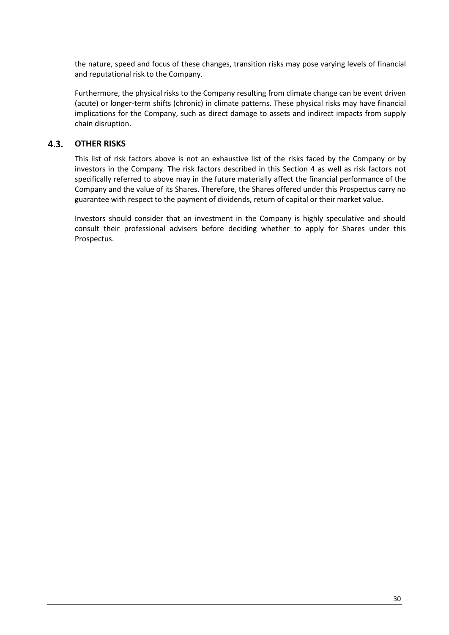the nature, speed and focus of these changes, transition risks may pose varying levels of financial and reputational risk to the Company.

Furthermore, the physical risks to the Company resulting from climate change can be event driven (acute) or longer-term shifts (chronic) in climate patterns. These physical risks may have financial implications for the Company, such as direct damage to assets and indirect impacts from supply chain disruption.

#### $4.3.$ **OTHER RISKS**

This list of risk factors above is not an exhaustive list of the risks faced by the Company or by investors in the Company. The risk factors described in this Section [4](#page-22-1) as well as risk factors not specifically referred to above may in the future materially affect the financial performance of the Company and the value of its Shares. Therefore, the Shares offered under this Prospectus carry no guarantee with respect to the payment of dividends, return of capital or their market value.

Investors should consider that an investment in the Company is highly speculative and should consult their professional advisers before deciding whether to apply for Shares under this Prospectus.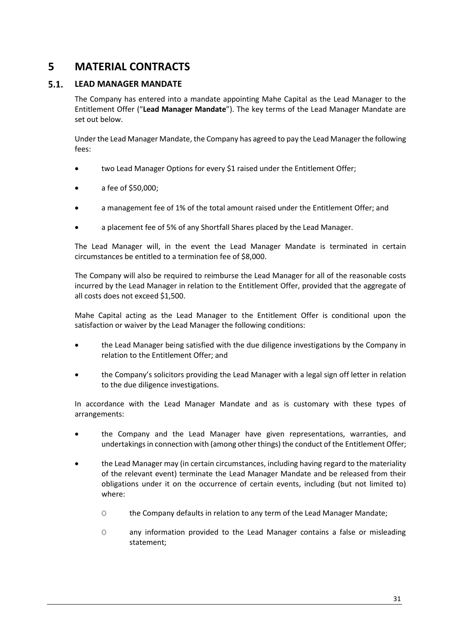## <span id="page-30-0"></span>**5 MATERIAL CONTRACTS**

#### <span id="page-30-1"></span> $5.1.$ **LEAD MANAGER MANDATE**

The Company has entered into a mandate appointing Mahe Capital as the Lead Manager to the Entitlement Offer ("**Lead Manager Mandate**"). The key terms of the Lead Manager Mandate are set out below.

Under the Lead Manager Mandate, the Company has agreed to pay the Lead Manager the following fees:

- two Lead Manager Options for every \$1 raised under the Entitlement Offer;
- a fee of \$50,000;
- a management fee of 1% of the total amount raised under the Entitlement Offer; and
- a placement fee of 5% of any Shortfall Shares placed by the Lead Manager.

The Lead Manager will, in the event the Lead Manager Mandate is terminated in certain circumstances be entitled to a termination fee of \$8,000.

The Company will also be required to reimburse the Lead Manager for all of the reasonable costs incurred by the Lead Manager in relation to the Entitlement Offer, provided that the aggregate of all costs does not exceed \$1,500.

Mahe Capital acting as the Lead Manager to the Entitlement Offer is conditional upon the satisfaction or waiver by the Lead Manager the following conditions:

- the Lead Manager being satisfied with the due diligence investigations by the Company in relation to the Entitlement Offer; and
- the Company's solicitors providing the Lead Manager with a legal sign off letter in relation to the due diligence investigations.

In accordance with the Lead Manager Mandate and as is customary with these types of arrangements:

- the Company and the Lead Manager have given representations, warranties, and undertakings in connection with (among other things) the conduct of the Entitlement Offer;
- the Lead Manager may (in certain circumstances, including having regard to the materiality of the relevant event) terminate the Lead Manager Mandate and be released from their obligations under it on the occurrence of certain events, including (but not limited to) where:
	- O the Company defaults in relation to any term of the Lead Manager Mandate;
	- O any information provided to the Lead Manager contains a false or misleading statement;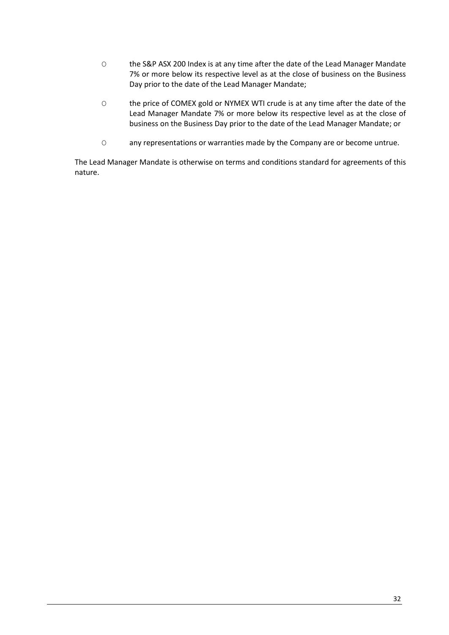- O the S&P ASX 200 Index is at any time after the date of the Lead Manager Mandate 7% or more below its respective level as at the close of business on the Business Day prior to the date of the Lead Manager Mandate;
- O the price of COMEX gold or NYMEX WTI crude is at any time after the date of the Lead Manager Mandate 7% or more below its respective level as at the close of business on the Business Day prior to the date of the Lead Manager Mandate; or
- O any representations or warranties made by the Company are or become untrue.

The Lead Manager Mandate is otherwise on terms and conditions standard for agreements of this nature.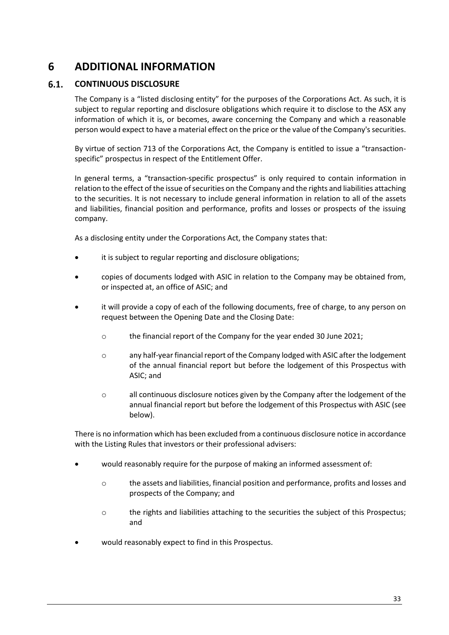## <span id="page-32-0"></span>**6 ADDITIONAL INFORMATION**

#### $6.1.$ **CONTINUOUS DISCLOSURE**

The Company is a "listed disclosing entity" for the purposes of the Corporations Act. As such, it is subject to regular reporting and disclosure obligations which require it to disclose to the ASX any information of which it is, or becomes, aware concerning the Company and which a reasonable person would expect to have a material effect on the price or the value of the Company's securities.

By virtue of section 713 of the Corporations Act, the Company is entitled to issue a "transactionspecific" prospectus in respect of the Entitlement Offer.

In general terms, a "transaction-specific prospectus" is only required to contain information in relation to the effect of the issue of securities on the Company and the rights and liabilities attaching to the securities. It is not necessary to include general information in relation to all of the assets and liabilities, financial position and performance, profits and losses or prospects of the issuing company.

As a disclosing entity under the Corporations Act, the Company states that:

- it is subject to regular reporting and disclosure obligations;
- copies of documents lodged with ASIC in relation to the Company may be obtained from, or inspected at, an office of ASIC; and
- it will provide a copy of each of the following documents, free of charge, to any person on request between the Opening Date and the Closing Date:
	- o the financial report of the Company for the year ended 30 June 2021;
	- $\circ$  any half-year financial report of the Company lodged with ASIC after the lodgement of the annual financial report but before the lodgement of this Prospectus with ASIC; and
	- o all continuous disclosure notices given by the Company after the lodgement of the annual financial report but before the lodgement of this Prospectus with ASIC (see below).

There is no information which has been excluded from a continuous disclosure notice in accordance with the Listing Rules that investors or their professional advisers:

- would reasonably require for the purpose of making an informed assessment of:
	- $\circ$  the assets and liabilities, financial position and performance, profits and losses and prospects of the Company; and
	- o the rights and liabilities attaching to the securities the subject of this Prospectus; and
- would reasonably expect to find in this Prospectus.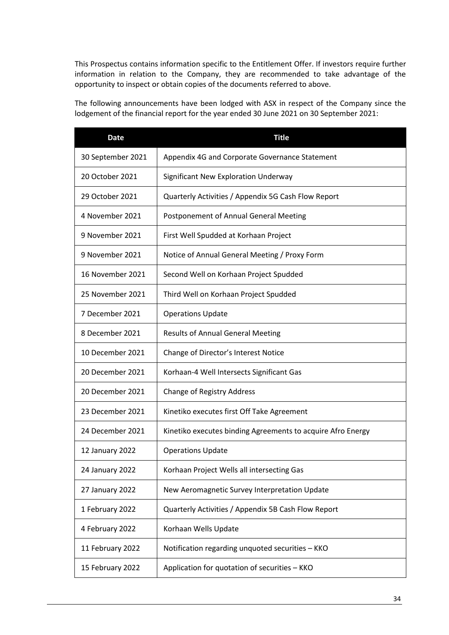This Prospectus contains information specific to the Entitlement Offer. If investors require further information in relation to the Company, they are recommended to take advantage of the opportunity to inspect or obtain copies of the documents referred to above.

The following announcements have been lodged with ASX in respect of the Company since the lodgement of the financial report for the year ended 30 June 2021 on 30 September 2021:

| <b>Date</b>       | <b>Title</b>                                                |
|-------------------|-------------------------------------------------------------|
| 30 September 2021 | Appendix 4G and Corporate Governance Statement              |
| 20 October 2021   | Significant New Exploration Underway                        |
| 29 October 2021   | Quarterly Activities / Appendix 5G Cash Flow Report         |
| 4 November 2021   | Postponement of Annual General Meeting                      |
| 9 November 2021   | First Well Spudded at Korhaan Project                       |
| 9 November 2021   | Notice of Annual General Meeting / Proxy Form               |
| 16 November 2021  | Second Well on Korhaan Project Spudded                      |
| 25 November 2021  | Third Well on Korhaan Project Spudded                       |
| 7 December 2021   | <b>Operations Update</b>                                    |
| 8 December 2021   | <b>Results of Annual General Meeting</b>                    |
| 10 December 2021  | Change of Director's Interest Notice                        |
| 20 December 2021  | Korhaan-4 Well Intersects Significant Gas                   |
| 20 December 2021  | <b>Change of Registry Address</b>                           |
| 23 December 2021  | Kinetiko executes first Off Take Agreement                  |
| 24 December 2021  | Kinetiko executes binding Agreements to acquire Afro Energy |
| 12 January 2022   | <b>Operations Update</b>                                    |
| 24 January 2022   | Korhaan Project Wells all intersecting Gas                  |
| 27 January 2022   | New Aeromagnetic Survey Interpretation Update               |
| 1 February 2022   | Quarterly Activities / Appendix 5B Cash Flow Report         |
| 4 February 2022   | Korhaan Wells Update                                        |
| 11 February 2022  | Notification regarding unquoted securities - KKO            |
| 15 February 2022  | Application for quotation of securities - KKO               |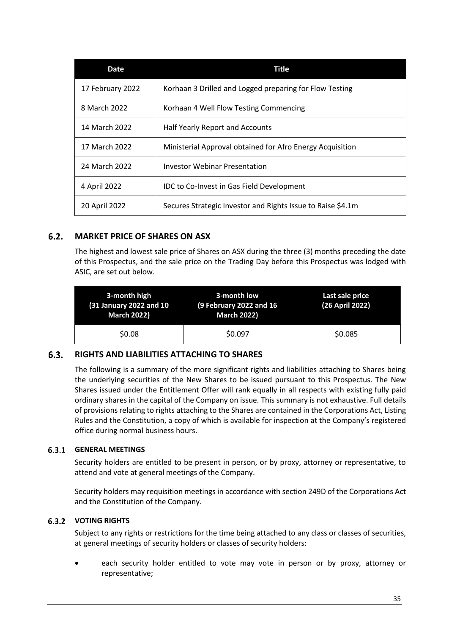| Date             | Title                                                       |
|------------------|-------------------------------------------------------------|
| 17 February 2022 | Korhaan 3 Drilled and Logged preparing for Flow Testing     |
| 8 March 2022     | Korhaan 4 Well Flow Testing Commencing                      |
| 14 March 2022    | Half Yearly Report and Accounts                             |
| 17 March 2022    | Ministerial Approval obtained for Afro Energy Acquisition   |
| 24 March 2022    | <b>Investor Webinar Presentation</b>                        |
| 4 April 2022     | IDC to Co-Invest in Gas Field Development                   |
| 20 April 2022    | Secures Strategic Investor and Rights Issue to Raise \$4.1m |

#### $6.2.$ **MARKET PRICE OF SHARES ON ASX**

The highest and lowest sale price of Shares on ASX during the three (3) months preceding the date of this Prospectus, and the sale price on the Trading Day before this Prospectus was lodged with ASIC, are set out below.

| 3-month high<br>(31 January 2022 and 10<br><b>March 2022)</b> | 3-month low<br>(9 February 2022 and 16<br><b>March 2022)</b> | Last sale price<br>(26 April 2022) |
|---------------------------------------------------------------|--------------------------------------------------------------|------------------------------------|
| \$0.08                                                        | \$0.097                                                      | \$0.085                            |

#### <span id="page-34-0"></span> $6.3.$ **RIGHTS AND LIABILITIES ATTACHING TO SHARES**

The following is a summary of the more significant rights and liabilities attaching to Shares being the underlying securities of the New Shares to be issued pursuant to this Prospectus. The New Shares issued under the Entitlement Offer will rank equally in all respects with existing fully paid ordinary shares in the capital of the Company on issue. This summary is not exhaustive. Full details of provisions relating to rights attaching to the Shares are contained in the Corporations Act, Listing Rules and the Constitution, a copy of which is available for inspection at the Company's registered office during normal business hours.

### **GENERAL MEETINGS**

Security holders are entitled to be present in person, or by proxy, attorney or representative, to attend and vote at general meetings of the Company.

Security holders may requisition meetings in accordance with section 249D of the Corporations Act and the Constitution of the Company.

### **VOTING RIGHTS**

Subject to any rights or restrictions for the time being attached to any class or classes of securities, at general meetings of security holders or classes of security holders:

each security holder entitled to vote may vote in person or by proxy, attorney or representative;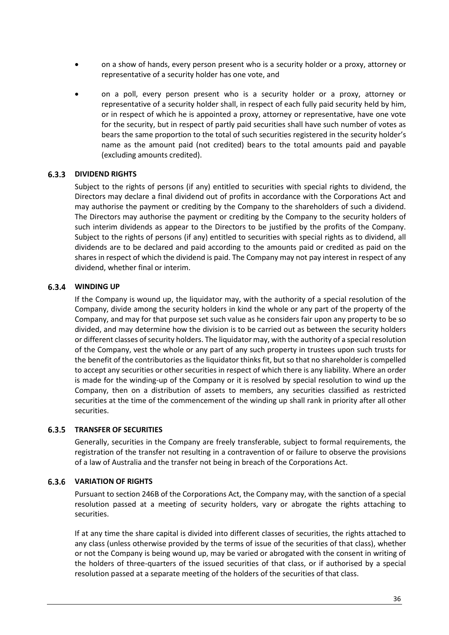- on a show of hands, every person present who is a security holder or a proxy, attorney or representative of a security holder has one vote, and
- on a poll, every person present who is a security holder or a proxy, attorney or representative of a security holder shall, in respect of each fully paid security held by him, or in respect of which he is appointed a proxy, attorney or representative, have one vote for the security, but in respect of partly paid securities shall have such number of votes as bears the same proportion to the total of such securities registered in the security holder's name as the amount paid (not credited) bears to the total amounts paid and payable (excluding amounts credited).

#### **6.3.3 DIVIDEND RIGHTS**

Subject to the rights of persons (if any) entitled to securities with special rights to dividend, the Directors may declare a final dividend out of profits in accordance with the Corporations Act and may authorise the payment or crediting by the Company to the shareholders of such a dividend. The Directors may authorise the payment or crediting by the Company to the security holders of such interim dividends as appear to the Directors to be justified by the profits of the Company. Subject to the rights of persons (if any) entitled to securities with special rights as to dividend, all dividends are to be declared and paid according to the amounts paid or credited as paid on the shares in respect of which the dividend is paid. The Company may not pay interest in respect of any dividend, whether final or interim.

#### **6.3.4 WINDING UP**

If the Company is wound up, the liquidator may, with the authority of a special resolution of the Company, divide among the security holders in kind the whole or any part of the property of the Company, and may for that purpose set such value as he considers fair upon any property to be so divided, and may determine how the division is to be carried out as between the security holders or different classes of security holders. The liquidator may, with the authority of a special resolution of the Company, vest the whole or any part of any such property in trustees upon such trusts for the benefit of the contributories as the liquidator thinks fit, but so that no shareholder is compelled to accept any securities or other securities in respect of which there is any liability. Where an order is made for the winding-up of the Company or it is resolved by special resolution to wind up the Company, then on a distribution of assets to members, any securities classified as restricted securities at the time of the commencement of the winding up shall rank in priority after all other securities.

#### **TRANSFER OF SECURITIES**

Generally, securities in the Company are freely transferable, subject to formal requirements, the registration of the transfer not resulting in a contravention of or failure to observe the provisions of a law of Australia and the transfer not being in breach of the Corporations Act.

#### **VARIATION OF RIGHTS**

Pursuant to section 246B of the Corporations Act, the Company may, with the sanction of a special resolution passed at a meeting of security holders, vary or abrogate the rights attaching to securities.

If at any time the share capital is divided into different classes of securities, the rights attached to any class (unless otherwise provided by the terms of issue of the securities of that class), whether or not the Company is being wound up, may be varied or abrogated with the consent in writing of the holders of three-quarters of the issued securities of that class, or if authorised by a special resolution passed at a separate meeting of the holders of the securities of that class.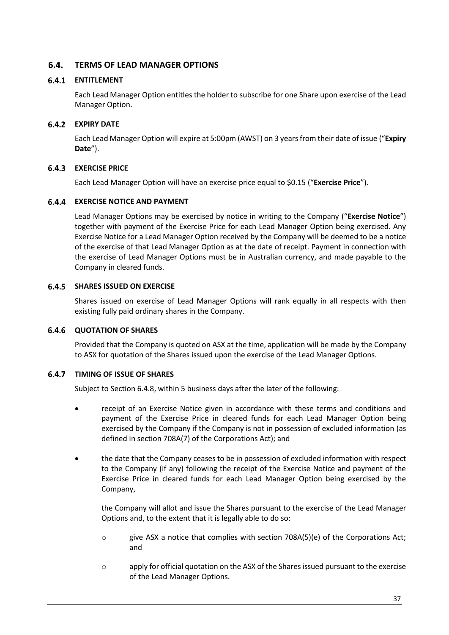#### <span id="page-36-0"></span> $6.4.$ **TERMS OF LEAD MANAGER OPTIONS**

### **ENTITLEMENT**

Each Lead Manager Option entitles the holder to subscribe for one Share upon exercise of the Lead Manager Option.

### **EXPIRY DATE**

Each Lead Manager Option will expire at 5:00pm (AWST) on 3 yearsfrom their date of issue ("**Expiry Date**").

### **EXERCISE PRICE**

Each Lead Manager Option will have an exercise price equal to \$0.15 ("**Exercise Price**").

### **EXERCISE NOTICE AND PAYMENT**

Lead Manager Options may be exercised by notice in writing to the Company ("**Exercise Notice**") together with payment of the Exercise Price for each Lead Manager Option being exercised. Any Exercise Notice for a Lead Manager Option received by the Company will be deemed to be a notice of the exercise of that Lead Manager Option as at the date of receipt. Payment in connection with the exercise of Lead Manager Options must be in Australian currency, and made payable to the Company in cleared funds.

### **SHARES ISSUED ON EXERCISE**

Shares issued on exercise of Lead Manager Options will rank equally in all respects with then existing fully paid ordinary shares in the Company.

### **QUOTATION OF SHARES**

Provided that the Company is quoted on ASX at the time, application will be made by the Company to ASX for quotation of the Shares issued upon the exercise of the Lead Manager Options.

### **TIMING OF ISSUE OF SHARES**

Subject to Section [6.4.8,](#page-37-0) within 5 business days after the later of the following:

- receipt of an Exercise Notice given in accordance with these terms and conditions and payment of the Exercise Price in cleared funds for each Lead Manager Option being exercised by the Company if the Company is not in possession of excluded information (as defined in section 708A(7) of the Corporations Act); and
- the date that the Company ceases to be in possession of excluded information with respect to the Company (if any) following the receipt of the Exercise Notice and payment of the Exercise Price in cleared funds for each Lead Manager Option being exercised by the Company,

the Company will allot and issue the Shares pursuant to the exercise of the Lead Manager Options and, to the extent that it is legally able to do so:

- $\circ$  give ASX a notice that complies with section 708A(5)(e) of the Corporations Act; and
- o apply for official quotation on the ASX of the Shares issued pursuant to the exercise of the Lead Manager Options.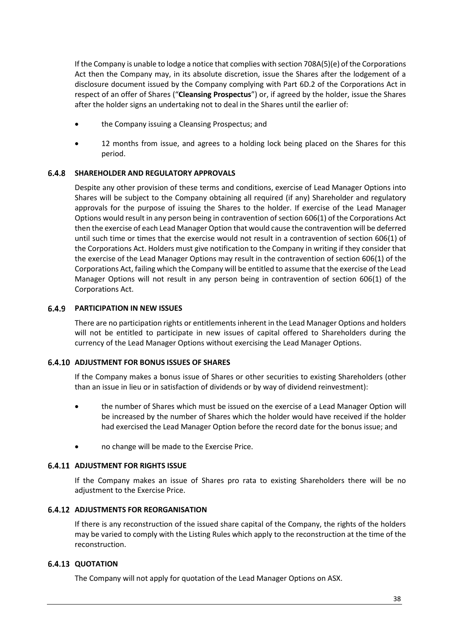If the Company is unable to lodge a notice that complies with section 708A(5)(e) of the Corporations Act then the Company may, in its absolute discretion, issue the Shares after the lodgement of a disclosure document issued by the Company complying with Part 6D.2 of the Corporations Act in respect of an offer of Shares ("**Cleansing Prospectus**") or, if agreed by the holder, issue the Shares after the holder signs an undertaking not to deal in the Shares until the earlier of:

- the Company issuing a Cleansing Prospectus; and
- 12 months from issue, and agrees to a holding lock being placed on the Shares for this period.

#### <span id="page-37-0"></span>**SHAREHOLDER AND REGULATORY APPROVALS**

Despite any other provision of these terms and conditions, exercise of Lead Manager Options into Shares will be subject to the Company obtaining all required (if any) Shareholder and regulatory approvals for the purpose of issuing the Shares to the holder. If exercise of the Lead Manager Options would result in any person being in contravention of section 606(1) of the Corporations Act then the exercise of each Lead Manager Option that would cause the contravention will be deferred until such time or times that the exercise would not result in a contravention of section 606(1) of the Corporations Act. Holders must give notification to the Company in writing if they consider that the exercise of the Lead Manager Options may result in the contravention of section 606(1) of the Corporations Act, failing which the Company will be entitled to assume that the exercise of the Lead Manager Options will not result in any person being in contravention of section 606(1) of the Corporations Act.

#### **PARTICIPATION IN NEW ISSUES**

There are no participation rights or entitlements inherent in the Lead Manager Options and holders will not be entitled to participate in new issues of capital offered to Shareholders during the currency of the Lead Manager Options without exercising the Lead Manager Options.

#### **6.4.10 ADJUSTMENT FOR BONUS ISSUES OF SHARES**

If the Company makes a bonus issue of Shares or other securities to existing Shareholders (other than an issue in lieu or in satisfaction of dividends or by way of dividend reinvestment):

- the number of Shares which must be issued on the exercise of a Lead Manager Option will be increased by the number of Shares which the holder would have received if the holder had exercised the Lead Manager Option before the record date for the bonus issue; and
- no change will be made to the Exercise Price.

#### **6.4.11 ADJUSTMENT FOR RIGHTS ISSUE**

If the Company makes an issue of Shares pro rata to existing Shareholders there will be no adjustment to the Exercise Price.

### **6.4.12 ADJUSTMENTS FOR REORGANISATION**

If there is any reconstruction of the issued share capital of the Company, the rights of the holders may be varied to comply with the Listing Rules which apply to the reconstruction at the time of the reconstruction.

### **6.4.13 QUOTATION**

The Company will not apply for quotation of the Lead Manager Options on ASX.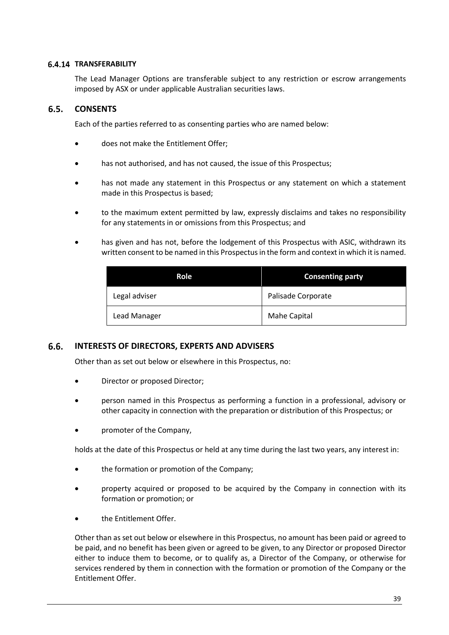#### **TRANSFERABILITY**

The Lead Manager Options are transferable subject to any restriction or escrow arrangements imposed by ASX or under applicable Australian securities laws.

#### $6.5.$ **CONSENTS**

Each of the parties referred to as consenting parties who are named below:

- does not make the Entitlement Offer;
- has not authorised, and has not caused, the issue of this Prospectus;
- has not made any statement in this Prospectus or any statement on which a statement made in this Prospectus is based;
- to the maximum extent permitted by law, expressly disclaims and takes no responsibility for any statements in or omissions from this Prospectus; and
- has given and has not, before the lodgement of this Prospectus with ASIC, withdrawn its written consent to be named in this Prospectus in the form and context in which it is named.

| Role          | <b>Consenting party</b> |
|---------------|-------------------------|
| Legal adviser | Palisade Corporate      |
| Lead Manager  | Mahe Capital            |

#### $6.6.$ **INTERESTS OF DIRECTORS, EXPERTS AND ADVISERS**

Other than as set out below or elsewhere in this Prospectus, no:

- Director or proposed Director;
- person named in this Prospectus as performing a function in a professional, advisory or other capacity in connection with the preparation or distribution of this Prospectus; or
- promoter of the Company,

holds at the date of this Prospectus or held at any time during the last two years, any interest in:

- the formation or promotion of the Company;
- property acquired or proposed to be acquired by the Company in connection with its formation or promotion; or
- the Entitlement Offer.

Other than as set out below or elsewhere in this Prospectus, no amount has been paid or agreed to be paid, and no benefit has been given or agreed to be given, to any Director or proposed Director either to induce them to become, or to qualify as, a Director of the Company, or otherwise for services rendered by them in connection with the formation or promotion of the Company or the Entitlement Offer.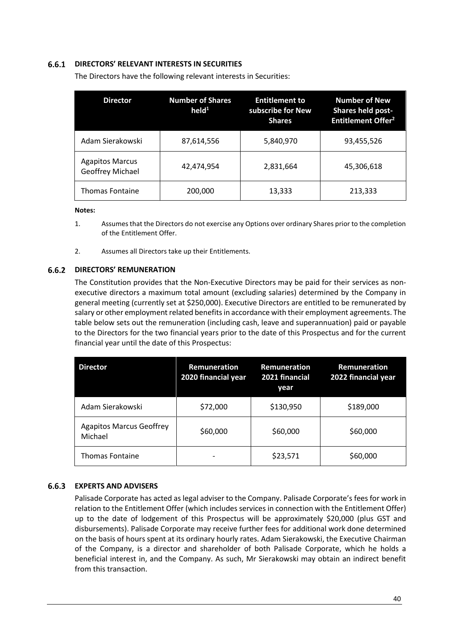### **DIRECTORS' RELEVANT INTERESTS IN SECURITIES**

| <b>Director</b>                            | <b>Number of Shares</b><br>held <sup>1</sup> | <b>Entitlement to</b><br>subscribe for New<br><b>Shares</b> | <b>Number of New</b><br><b>Shares held post-</b><br><b>Entitlement Offer<sup>2</sup></b> |
|--------------------------------------------|----------------------------------------------|-------------------------------------------------------------|------------------------------------------------------------------------------------------|
| Adam Sierakowski                           | 87,614,556                                   | 5,840,970                                                   | 93,455,526                                                                               |
| <b>Agapitos Marcus</b><br>Geoffrey Michael | 42,474,954                                   | 2,831,664                                                   | 45,306,618                                                                               |
| <b>Thomas Fontaine</b>                     | 200,000                                      | 13,333                                                      | 213,333                                                                                  |

The Directors have the following relevant interests in Securities:

#### **Notes:**

- 1. Assumes that the Directors do not exercise any Options over ordinary Shares prior to the completion of the Entitlement Offer.
- 2. Assumes all Directors take up their Entitlements.

#### **DIRECTORS' REMUNERATION**

The Constitution provides that the Non-Executive Directors may be paid for their services as nonexecutive directors a maximum total amount (excluding salaries) determined by the Company in general meeting (currently set at \$250,000). Executive Directors are entitled to be remunerated by salary or other employment related benefits in accordance with their employment agreements. The table below sets out the remuneration (including cash, leave and superannuation) paid or payable to the Directors for the two financial years prior to the date of this Prospectus and for the current financial year until the date of this Prospectus:

| <b>Director</b>                            | <b>Remuneration</b><br>2020 financial year | Remuneration<br>2021 financial<br>year | <b>Remuneration</b><br>2022 financial year |
|--------------------------------------------|--------------------------------------------|----------------------------------------|--------------------------------------------|
| Adam Sierakowski                           | \$72,000                                   | \$130,950                              | \$189,000                                  |
| <b>Agapitos Marcus Geoffrey</b><br>Michael | \$60,000                                   | \$60,000                               | \$60,000                                   |
| <b>Thomas Fontaine</b>                     |                                            | \$23,571                               | \$60,000                                   |

#### **EXPERTS AND ADVISERS**

Palisade Corporate has acted as legal adviser to the Company. Palisade Corporate's fees for work in relation to the Entitlement Offer (which includes services in connection with the Entitlement Offer) up to the date of lodgement of this Prospectus will be approximately \$20,000 (plus GST and disbursements). Palisade Corporate may receive further fees for additional work done determined on the basis of hours spent at its ordinary hourly rates. Adam Sierakowski, the Executive Chairman of the Company, is a director and shareholder of both Palisade Corporate, which he holds a beneficial interest in, and the Company. As such, Mr Sierakowski may obtain an indirect benefit from this transaction.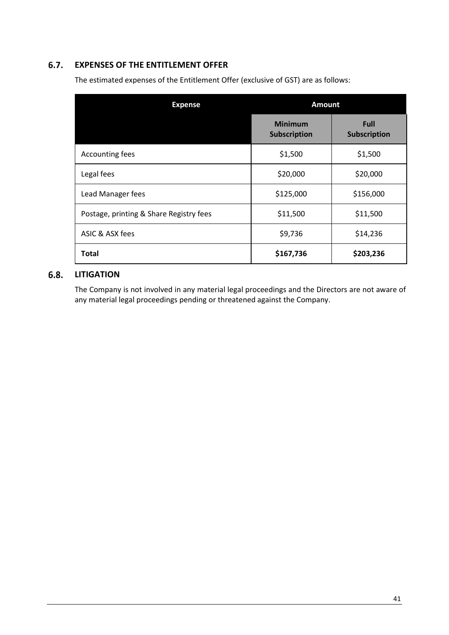#### $6.7.$ **EXPENSES OF THE ENTITLEMENT OFFER**

The estimated expenses of the Entitlement Offer (exclusive of GST) are as follows:

| <b>Expense</b>                          | <b>Amount</b>                  |                             |
|-----------------------------------------|--------------------------------|-----------------------------|
|                                         | <b>Minimum</b><br>Subscription | Full<br><b>Subscription</b> |
| Accounting fees                         | \$1,500                        | \$1,500                     |
| Legal fees                              | \$20,000                       | \$20,000                    |
| Lead Manager fees                       | \$125,000                      | \$156,000                   |
| Postage, printing & Share Registry fees | \$11,500                       | \$11,500                    |
| ASIC & ASX fees                         | \$9,736                        | \$14,236                    |
| <b>Total</b>                            | \$167,736                      | \$203,236                   |

#### $6.8.$ **LITIGATION**

The Company is not involved in any material legal proceedings and the Directors are not aware of any material legal proceedings pending or threatened against the Company.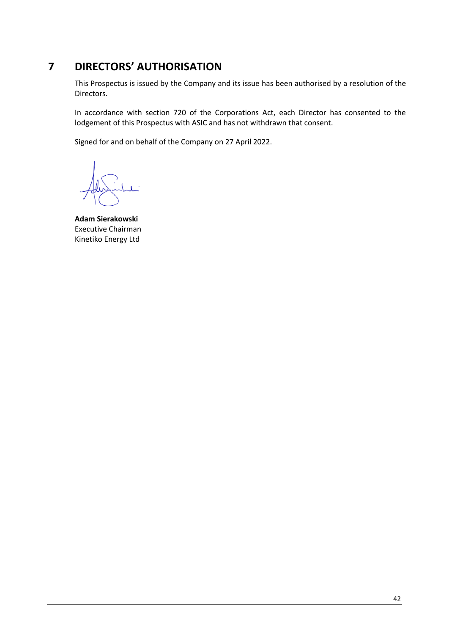## <span id="page-41-0"></span>**7 DIRECTORS' AUTHORISATION**

This Prospectus is issued by the Company and its issue has been authorised by a resolution of the Directors.

In accordance with section 720 of the Corporations Act, each Director has consented to the lodgement of this Prospectus with ASIC and has not withdrawn that consent.

Signed for and on behalf of the Company on 27 April 2022.

**Adam Sierakowski** Executive Chairman Kinetiko Energy Ltd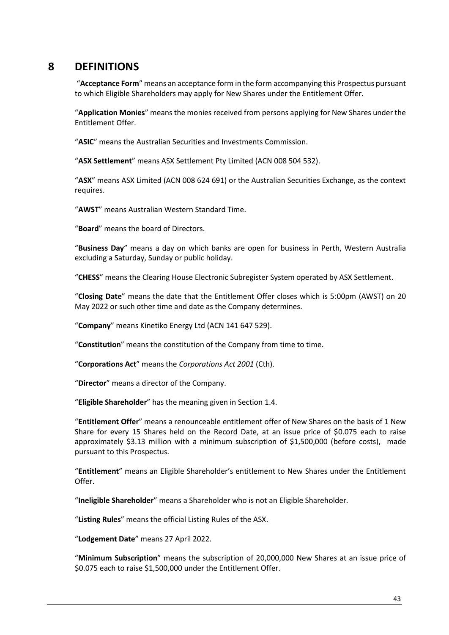## <span id="page-42-0"></span>**8 DEFINITIONS**

"**Acceptance Form**" means an acceptance form in the form accompanying this Prospectus pursuant to which Eligible Shareholders may apply for New Shares under the Entitlement Offer.

"**Application Monies**" means the monies received from persons applying for New Shares under the Entitlement Offer.

"**ASIC**" means the Australian Securities and Investments Commission.

"**ASX Settlement**" means ASX Settlement Pty Limited (ACN 008 504 532).

"**ASX**" means ASX Limited (ACN 008 624 691) or the Australian Securities Exchange, as the context requires.

"**AWST**" means Australian Western Standard Time.

"**Board**" means the board of Directors.

"**Business Day**" means a day on which banks are open for business in Perth, Western Australia excluding a Saturday, Sunday or public holiday.

"**CHESS**" means the Clearing House Electronic Subregister System operated by ASX Settlement.

"**Closing Date**" means the date that the Entitlement Offer closes which is 5:00pm (AWST) on 20 May 2022 or such other time and date as the Company determines.

"**Company**" means Kinetiko Energy Ltd (ACN 141 647 529).

"**Constitution**" means the constitution of the Company from time to time.

"**Corporations Act**" means the *Corporations Act 2001* (Cth).

"**Director**" means a director of the Company.

"**Eligible Shareholder**" has the meaning given in Section [1.4.](#page-8-0)

"**Entitlement Offer**" means a renounceable entitlement offer of New Shares on the basis of 1 New Share for every 15 Shares held on the Record Date, at an issue price of \$0.075 each to raise approximately \$3.13 million with a minimum subscription of \$1,500,000 (before costs), made pursuant to this Prospectus.

"**Entitlement**" means an Eligible Shareholder's entitlement to New Shares under the Entitlement Offer.

"**Ineligible Shareholder**" means a Shareholder who is not an Eligible Shareholder.

"**Listing Rules**" means the official Listing Rules of the ASX.

"**Lodgement Date**" means 27 April 2022.

"**Minimum Subscription**" means the subscription of 20,000,000 New Shares at an issue price of \$0.075 each to raise \$1,500,000 under the Entitlement Offer.